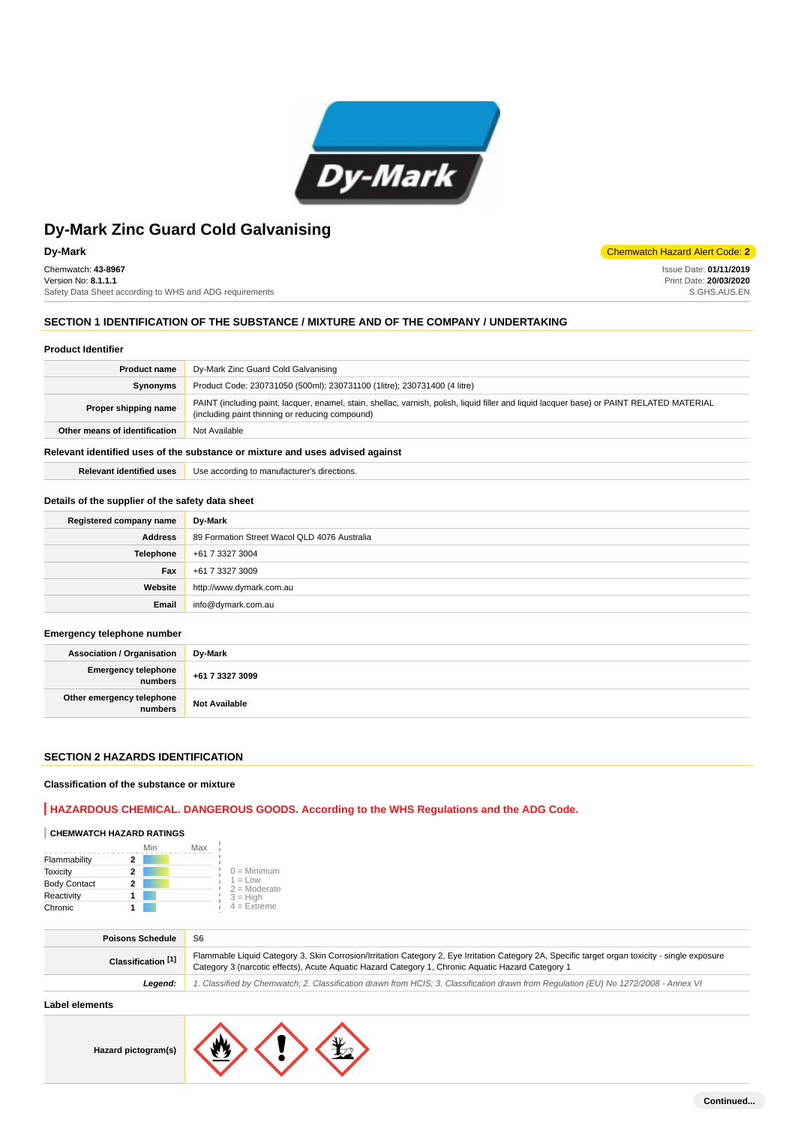

Chemwatch: **43-8967** Version No: **8.1.1.1** Safety Data Sheet according to WHS and ADG requirements

## **Dy-Mark** Chemwatch Hazard Alert Code: **2**

Issue Date: **01/11/2019** Print Date: **20/03/2020** S.GHS.AUS.EN

# **SECTION 1 IDENTIFICATION OF THE SUBSTANCE / MIXTURE AND OF THE COMPANY / UNDERTAKING**

## **Product Identifier**

| <b>Product name</b>           | Dy-Mark Zinc Guard Cold Galvanising                                                                                                                                                           |
|-------------------------------|-----------------------------------------------------------------------------------------------------------------------------------------------------------------------------------------------|
| Synonyms                      | Product Code: 230731050 (500ml); 230731100 (1litre); 230731400 (4 litre)                                                                                                                      |
| Proper shipping name          | PAINT (including paint, lacquer, enamel, stain, shellac, varnish, polish, liquid filler and liquid lacquer base) or PAINT RELATED MATERIAL<br>(including paint thinning or reducing compound) |
| Other means of identification | Not Available                                                                                                                                                                                 |
|                               |                                                                                                                                                                                               |

## **Relevant identified uses of the substance or mixture and uses advised against**

**Relevant identified uses** Use according to manufacturer's directions.

#### **Details of the supplier of the safety data sheet**

| Registered company name | Dy-Mark                                      |
|-------------------------|----------------------------------------------|
| <b>Address</b>          | 89 Formation Street Wacol QLD 4076 Australia |
| Telephone               | +61 7 3327 3004                              |
| Fax                     | +61 7 3327 3009                              |
| Website                 | http://www.dymark.com.au                     |
| Email                   | info@dymark.com.au                           |

#### **Emergency telephone number**

| <b>Association / Organisation</b>            | Dy-Mark              |
|----------------------------------------------|----------------------|
| <b>Emergency telephone</b><br><b>numbers</b> | +61 7 3327 3099      |
| Other emergency telephone<br>numbers         | <b>Not Available</b> |

## **SECTION 2 HAZARDS IDENTIFICATION**

## **Classification of the substance or mixture**

## **HAZARDOUS CHEMICAL. DANGEROUS GOODS. According to the WHS Regulations and the ADG Code.**

# **CHEMWATCH HAZARD RATINGS**

|                     | Min | Max |                              |
|---------------------|-----|-----|------------------------------|
| Flammability        |     |     |                              |
| <b>Toxicity</b>     | 2   |     | $0 =$ Minimum                |
| <b>Body Contact</b> | 2   |     | $1 = 1$ ow<br>$2 =$ Moderate |
| Reactivity          |     |     | $3 = High$                   |
| Chronic             |     |     | $4 =$ Extreme                |

| <b>Poisons Schedule</b> | S <sub>6</sub>                                                                                                                                                                                                                                       |
|-------------------------|------------------------------------------------------------------------------------------------------------------------------------------------------------------------------------------------------------------------------------------------------|
| Classification [1]      | Flammable Liquid Category 3, Skin Corrosion/Irritation Category 2, Eye Irritation Category 2A, Specific target organ toxicity - single exposure<br>Category 3 (narcotic effects), Acute Aquatic Hazard Category 1, Chronic Aquatic Hazard Category 1 |
| Leaend:                 | 1. Classified by Chemwatch; 2. Classification drawn from HCIS; 3. Classification drawn from Requlation (EU) No 1272/2008 - Annex VI                                                                                                                  |
|                         |                                                                                                                                                                                                                                                      |

# **Label elements**

**Hazard pictogram(s)**

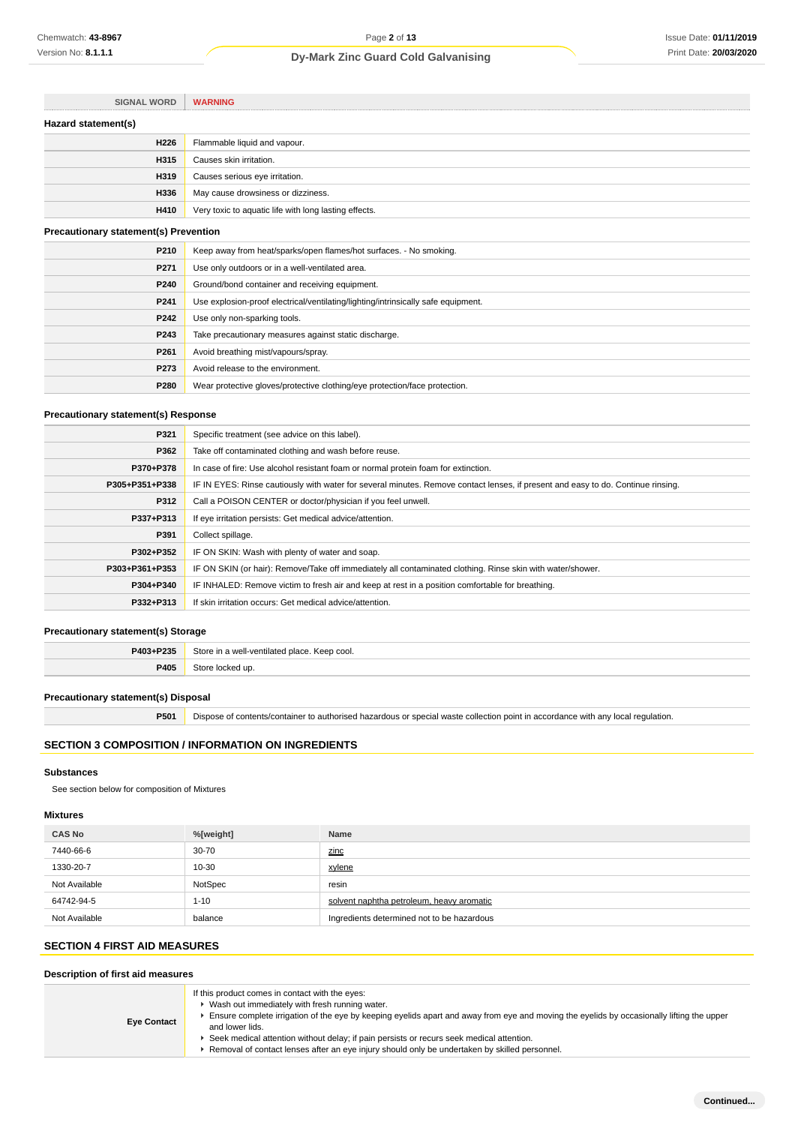| <b>SIGNAL WORD</b>                           | <b>WARNING</b>                                                                    |
|----------------------------------------------|-----------------------------------------------------------------------------------|
| Hazard statement(s)                          |                                                                                   |
| H226                                         | Flammable liquid and vapour.                                                      |
| H315                                         | Causes skin irritation.                                                           |
| H319                                         | Causes serious eye irritation.                                                    |
| H336                                         | May cause drowsiness or dizziness.                                                |
| H410                                         | Very toxic to aquatic life with long lasting effects.                             |
| <b>Precautionary statement(s) Prevention</b> |                                                                                   |
| P210                                         | Keep away from heat/sparks/open flames/hot surfaces. - No smoking.                |
| P271                                         | Use only outdoors or in a well-ventilated area.                                   |
| P240                                         | Ground/bond container and receiving equipment.                                    |
| P241                                         | Use explosion-proof electrical/ventilating/lighting/intrinsically safe equipment. |
| P242                                         | Use only non-sparking tools.                                                      |
| P243                                         | Take precautionary measures against static discharge.                             |
| P <sub>261</sub>                             | Avoid breathing mist/vapours/spray.                                               |
| P273                                         | Avoid release to the environment.                                                 |
| P280                                         | Wear protective gloves/protective clothing/eye protection/face protection.        |

## **Precautionary statement(s) Response**

| P321           | Specific treatment (see advice on this label).                                                                                   |
|----------------|----------------------------------------------------------------------------------------------------------------------------------|
| P362           | Take off contaminated clothing and wash before reuse.                                                                            |
| P370+P378      | In case of fire: Use alcohol resistant foam or normal protein foam for extinction.                                               |
| P305+P351+P338 | IF IN EYES: Rinse cautiously with water for several minutes. Remove contact lenses, if present and easy to do. Continue rinsing. |
| P312           | Call a POISON CENTER or doctor/physician if you feel unwell.                                                                     |
| P337+P313      | If eye irritation persists: Get medical advice/attention.                                                                        |
| P391           | Collect spillage.                                                                                                                |
| P302+P352      | IF ON SKIN: Wash with plenty of water and soap.                                                                                  |
| P303+P361+P353 | IF ON SKIN (or hair): Remove/Take off immediately all contaminated clothing. Rinse skin with water/shower.                       |
| P304+P340      | IF INHALED: Remove victim to fresh air and keep at rest in a position comfortable for breathing.                                 |
| P332+P313      | If skin irritation occurs: Get medical advice/attention.                                                                         |

# **Precautionary statement(s) Storage**

| P403+P235 | Store in a well-ventilated place.<br>Keep cool.<br>$  -$ |
|-----------|----------------------------------------------------------|
| P405      | ur                                                       |

### **Precautionary statement(s) Disposal**

**P501** Dispose of contents/container to authorised hazardous or special waste collection point in accordance with any local regulation.

# **SECTION 3 COMPOSITION / INFORMATION ON INGREDIENTS**

## **Substances**

See section below for composition of Mixtures

## **Mixtures**

| <b>CAS No</b> | %[weight] | Name                                       |
|---------------|-----------|--------------------------------------------|
| 7440-66-6     | $30 - 70$ | zinc                                       |
| 1330-20-7     | 10-30     | xylene                                     |
| Not Available | NotSpec   | resin                                      |
| 64742-94-5    | $1 - 10$  | solvent naphtha petroleum, heavy aromatic  |
| Not Available | balance   | Ingredients determined not to be hazardous |

# **SECTION 4 FIRST AID MEASURES**

# **Description of first aid measures**

| <b>Eye Contact</b> | If this product comes in contact with the eyes:<br>• Wash out immediately with fresh running water.<br>Ensure complete irrigation of the eye by keeping eyelids apart and away from eye and moving the eyelids by occasionally lifting the upper<br>and lower lids.<br>► Seek medical attention without delay; if pain persists or recurs seek medical attention.<br>▶ Removal of contact lenses after an eye injury should only be undertaken by skilled personnel. |
|--------------------|----------------------------------------------------------------------------------------------------------------------------------------------------------------------------------------------------------------------------------------------------------------------------------------------------------------------------------------------------------------------------------------------------------------------------------------------------------------------|
|--------------------|----------------------------------------------------------------------------------------------------------------------------------------------------------------------------------------------------------------------------------------------------------------------------------------------------------------------------------------------------------------------------------------------------------------------------------------------------------------------|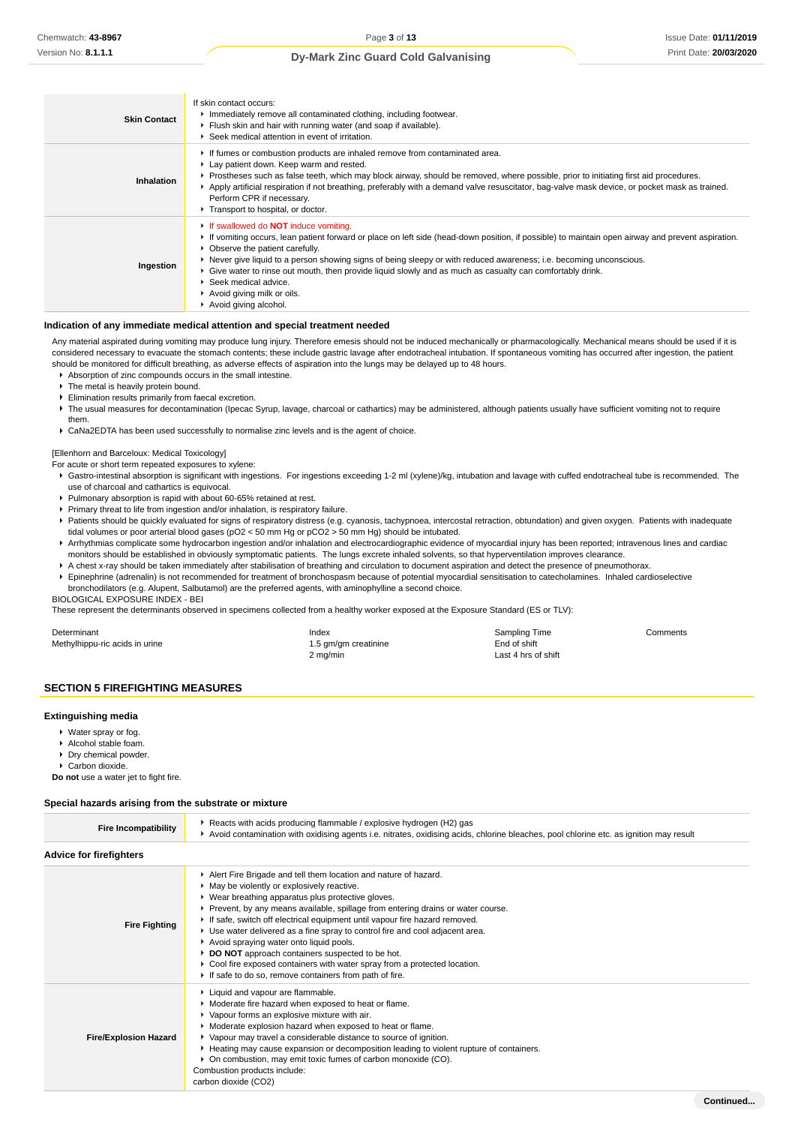**Continued...**

## **Dy-Mark Zinc Guard Cold Galvanising**

| <b>Skin Contact</b> | If skin contact occurs:<br>Immediately remove all contaminated clothing, including footwear.<br>Flush skin and hair with running water (and soap if available).<br>▶ Seek medical attention in event of irritation.                                                                                                                                                                                                                                                                                                                                       |
|---------------------|-----------------------------------------------------------------------------------------------------------------------------------------------------------------------------------------------------------------------------------------------------------------------------------------------------------------------------------------------------------------------------------------------------------------------------------------------------------------------------------------------------------------------------------------------------------|
| Inhalation          | If fumes or combustion products are inhaled remove from contaminated area.<br>Lay patient down. Keep warm and rested.<br>▶ Prostheses such as false teeth, which may block airway, should be removed, where possible, prior to initiating first aid procedures.<br>Apply artificial respiration if not breathing, preferably with a demand valve resuscitator, bag-valve mask device, or pocket mask as trained.<br>Perform CPR if necessary.<br>Transport to hospital, or doctor.                                                                        |
| Ingestion           | If swallowed do <b>NOT</b> induce vomiting.<br>► If vomiting occurs, lean patient forward or place on left side (head-down position, if possible) to maintain open airway and prevent aspiration.<br>• Observe the patient carefully.<br>▶ Never give liquid to a person showing signs of being sleepy or with reduced awareness; i.e. becoming unconscious.<br>• Give water to rinse out mouth, then provide liquid slowly and as much as casualty can comfortably drink.<br>Seek medical advice.<br>Avoid giving milk or oils.<br>Avoid giving alcohol. |

#### **Indication of any immediate medical attention and special treatment needed**

Any material aspirated during vomiting may produce lung injury. Therefore emesis should not be induced mechanically or pharmacologically. Mechanical means should be used if it is considered necessary to evacuate the stomach contents; these include gastric lavage after endotracheal intubation. If spontaneous vomiting has occurred after ingestion, the patient should be monitored for difficult breathing, as adverse effects of aspiration into the lungs may be delayed up to 48 hours.

Absorption of zinc compounds occurs in the small intestine.

- $\blacktriangleright$  The metal is heavily protein bound.
- Elimination results primarily from faecal excretion.
- ▶ The usual measures for decontamination (Ipecac Syrup, lavage, charcoal or cathartics) may be administered, although patients usually have sufficient vomiting not to require them.
- CaNa2EDTA has been used successfully to normalise zinc levels and is the agent of choice.

[Ellenhorn and Barceloux: Medical Toxicology]

- For acute or short term repeated exposures to xylene:
- Gastro-intestinal absorption is significant with ingestions. For ingestions exceeding 1-2 ml (xylene)/kg, intubation and lavage with cuffed endotracheal tube is recommended. The use of charcoal and cathartics is equivocal.
- Pulmonary absorption is rapid with about 60-65% retained at rest.
- Primary threat to life from ingestion and/or inhalation, is respiratory failure.
- Patients should be quickly evaluated for signs of respiratory distress (e.g. cyanosis, tachypnoea, intercostal retraction, obtundation) and given oxygen. Patients with inadequate tidal volumes or poor arterial blood gases (pO2 < 50 mm Hg or pCO2 > 50 mm Hg) should be intubated.
- Arrhythmias complicate some hydrocarbon ingestion and/or inhalation and electrocardiographic evidence of myocardial injury has been reported; intravenous lines and cardiac monitors should be established in obviously symptomatic patients. The lungs excrete inhaled solvents, so that hyperventilation improves clearance.
- A chest x-ray should be taken immediately after stabilisation of breathing and circulation to document aspiration and detect the presence of pneumothorax.
- Epinephrine (adrenalin) is not recommended for treatment of bronchospasm because of potential myocardial sensitisation to catecholamines. Inhaled cardioselective bronchodilators (e.g. Alupent, Salbutamol) are the preferred agents, with aminophylline a second choice.

BIOLOGICAL EXPOSURE INDEX - BEI

These represent the determinants observed in specimens collected from a healthy worker exposed at the Exposure Standard (ES or TLV):

| Determinant                    | Index                | Sampling Time       | Comments |
|--------------------------------|----------------------|---------------------|----------|
| Methylhippu-ric acids in urine | 1.5 gm/gm creatinine | End of shift        |          |
|                                | 2 mg/min             | Last 4 hrs of shift |          |

#### **SECTION 5 FIREFIGHTING MEASURES**

#### **Extinguishing media**

- ▶ Water spray or fog.
- Alcohol stable foam.
- Dry chemical powder.
- ▶ Carbon dioxide.

**Do not** use a water jet to fight fire.

#### **Special hazards arising from the substrate or mixture**

| <b>Fire Incompatibility</b>    | Reacts with acids producing flammable / explosive hydrogen (H2) gas<br>► Avoid contamination with oxidising agents i.e. nitrates, oxidising acids, chlorine bleaches, pool chlorine etc. as ignition may result                                                                                                                                                                                                                                                                                                                                                                                                                                              |
|--------------------------------|--------------------------------------------------------------------------------------------------------------------------------------------------------------------------------------------------------------------------------------------------------------------------------------------------------------------------------------------------------------------------------------------------------------------------------------------------------------------------------------------------------------------------------------------------------------------------------------------------------------------------------------------------------------|
| <b>Advice for firefighters</b> |                                                                                                                                                                                                                                                                                                                                                                                                                                                                                                                                                                                                                                                              |
| <b>Fire Fighting</b>           | Alert Fire Brigade and tell them location and nature of hazard.<br>• May be violently or explosively reactive.<br>▶ Wear breathing apparatus plus protective gloves.<br>▶ Prevent, by any means available, spillage from entering drains or water course.<br>If safe, switch off electrical equipment until vapour fire hazard removed.<br>► Use water delivered as a fine spray to control fire and cool adjacent area.<br>Avoid spraying water onto liquid pools.<br>DO NOT approach containers suspected to be hot.<br>Cool fire exposed containers with water spray from a protected location.<br>If safe to do so, remove containers from path of fire. |
| <b>Fire/Explosion Hazard</b>   | Liquid and vapour are flammable.<br>• Moderate fire hazard when exposed to heat or flame.<br>• Vapour forms an explosive mixture with air.<br>• Moderate explosion hazard when exposed to heat or flame.<br>▶ Vapour may travel a considerable distance to source of ignition.<br>► Heating may cause expansion or decomposition leading to violent rupture of containers.<br>• On combustion, may emit toxic fumes of carbon monoxide (CO).<br>Combustion products include:<br>carbon dioxide (CO2)                                                                                                                                                         |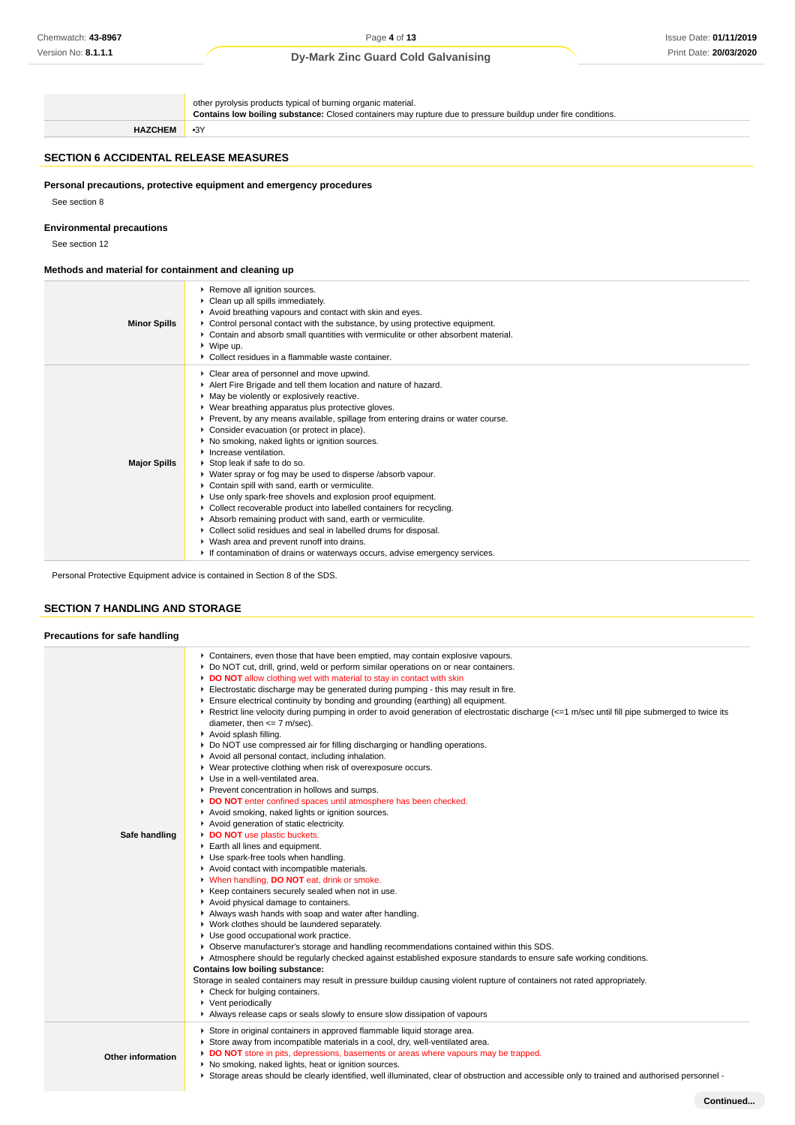# Issue Date: **01/11/2019** Print Date: **20/03/2020**

## **Dy-Mark Zinc Guard Cold Galvanising**

other pyrolysis products typical of burning organic material.

**Contains low boiling substance:** Closed containers may rupture due to pressure buildup under fire conditions. **HAZCHEM** •3Y **SECTION 6 ACCIDENTAL RELEASE MEASURES Personal precautions, protective equipment and emergency procedures** See section 8 **Environmental precautions** See section 12 **Methods and material for containment and cleaning up Minor Spills** Remove all ignition sources. ▶ Clean up all spills immediately. Avoid breathing vapours and contact with skin and eyes. ▶ Control personal contact with the substance, by using protective equipment. Contain and absorb small quantities with vermiculite or other absorbent material. Wipe up. Collect residues in a flammable waste container. **Major Spills** Clear area of personnel and move upwind. Alert Fire Brigade and tell them location and nature of hazard. May be violently or explosively reactive. Wear breathing apparatus plus protective gloves. Prevent, by any means available, spillage from entering drains or water course. **Consider evacuation (or protect in place).**  $\blacktriangleright$  No smoking, naked lights or ignition sources. **I** Increase ventilation. Stop leak if safe to do so. Water spray or fog may be used to disperse /absorb vapour. Contain spill with sand, earth or vermiculite. Use only spark-free shovels and explosion proof equipment. Collect recoverable product into labelled containers for recycling. Absorb remaining product with sand, earth or vermiculite. Collect solid residues and seal in labelled drums for disposal. Wash area and prevent runoff into drains. If contamination of drains or waterways occurs, advise emergency services.

Personal Protective Equipment advice is contained in Section 8 of the SDS.

# **SECTION 7 HANDLING AND STORAGE**

| Precautions for safe handling |                                                                                                                                                                                                                                                                                                                                                                                                                                                                                                                                                                                                                                                                                                                                                                                                                                                                                                                                                                                                                                                                                                                                                                                                                                                                                                                                                                                                                                                                                                                                                                                                                                                                                                                                                                                                                                                                                                                                                                                                                                                                                |
|-------------------------------|--------------------------------------------------------------------------------------------------------------------------------------------------------------------------------------------------------------------------------------------------------------------------------------------------------------------------------------------------------------------------------------------------------------------------------------------------------------------------------------------------------------------------------------------------------------------------------------------------------------------------------------------------------------------------------------------------------------------------------------------------------------------------------------------------------------------------------------------------------------------------------------------------------------------------------------------------------------------------------------------------------------------------------------------------------------------------------------------------------------------------------------------------------------------------------------------------------------------------------------------------------------------------------------------------------------------------------------------------------------------------------------------------------------------------------------------------------------------------------------------------------------------------------------------------------------------------------------------------------------------------------------------------------------------------------------------------------------------------------------------------------------------------------------------------------------------------------------------------------------------------------------------------------------------------------------------------------------------------------------------------------------------------------------------------------------------------------|
| Safe handling                 | ► Containers, even those that have been emptied, may contain explosive vapours.<br>▶ Do NOT cut, drill, grind, weld or perform similar operations on or near containers.<br>DO NOT allow clothing wet with material to stay in contact with skin<br>Electrostatic discharge may be generated during pumping - this may result in fire.<br>Ensure electrical continuity by bonding and grounding (earthing) all equipment.<br>Restrict line velocity during pumping in order to avoid generation of electrostatic discharge (<=1 m/sec until fill pipe submerged to twice its<br>diameter, then $\leq$ 7 m/sec).<br>Avoid splash filling.<br>► Do NOT use compressed air for filling discharging or handling operations.<br>Avoid all personal contact, including inhalation.<br>▶ Wear protective clothing when risk of overexposure occurs.<br>Use in a well-ventilated area.<br>Prevent concentration in hollows and sumps.<br>DO NOT enter confined spaces until atmosphere has been checked.<br>Avoid smoking, naked lights or ignition sources.<br>Avoid generation of static electricity.<br>DO NOT use plastic buckets.<br>Earth all lines and equipment.<br>Use spark-free tools when handling.<br>Avoid contact with incompatible materials.<br>V When handling, DO NOT eat, drink or smoke.<br>▶ Keep containers securely sealed when not in use.<br>Avoid physical damage to containers.<br>Always wash hands with soap and water after handling.<br>▶ Work clothes should be laundered separately.<br>Use good occupational work practice.<br>▶ Observe manufacturer's storage and handling recommendations contained within this SDS.<br>Atmosphere should be regularly checked against established exposure standards to ensure safe working conditions.<br>Contains low boiling substance:<br>Storage in sealed containers may result in pressure buildup causing violent rupture of containers not rated appropriately.<br>▶ Check for bulging containers.<br>▶ Vent periodically<br>Always release caps or seals slowly to ensure slow dissipation of vapours |
| <b>Other information</b>      | Store in original containers in approved flammable liquid storage area.<br>Store away from incompatible materials in a cool, dry, well-ventilated area.<br>DO NOT store in pits, depressions, basements or areas where vapours may be trapped.<br>▶ No smoking, naked lights, heat or ignition sources.<br>▶ Storage areas should be clearly identified, well illuminated, clear of obstruction and accessible only to trained and authorised personnel -                                                                                                                                                                                                                                                                                                                                                                                                                                                                                                                                                                                                                                                                                                                                                                                                                                                                                                                                                                                                                                                                                                                                                                                                                                                                                                                                                                                                                                                                                                                                                                                                                      |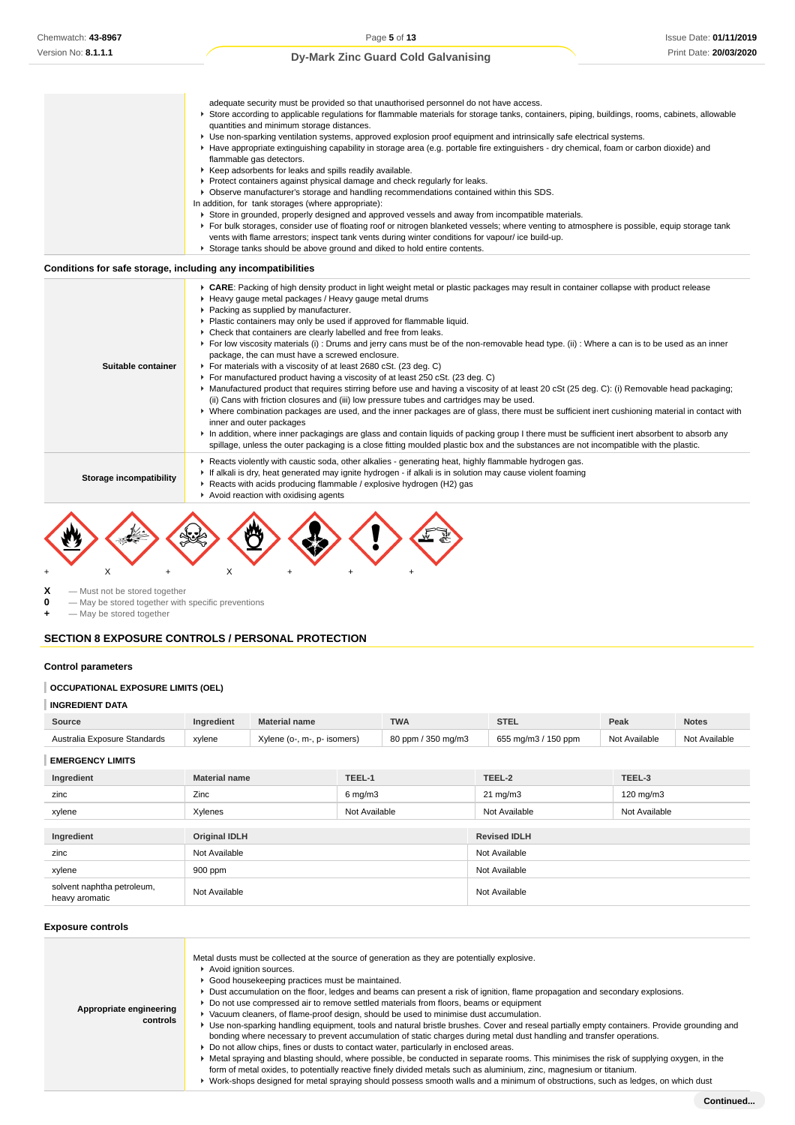|                                                              | adequate security must be provided so that unauthorised personnel do not have access.                                                                                                                                                              |
|--------------------------------------------------------------|----------------------------------------------------------------------------------------------------------------------------------------------------------------------------------------------------------------------------------------------------|
|                                                              | ▶ Store according to applicable regulations for flammable materials for storage tanks, containers, piping, buildings, rooms, cabinets, allowable<br>quantities and minimum storage distances.                                                      |
|                                                              | ▶ Use non-sparking ventilation systems, approved explosion proof equipment and intrinsically safe electrical systems.                                                                                                                              |
|                                                              | ► Have appropriate extinguishing capability in storage area (e.g. portable fire extinguishers - dry chemical, foam or carbon dioxide) and                                                                                                          |
|                                                              | flammable gas detectors.                                                                                                                                                                                                                           |
|                                                              | ▶ Keep adsorbents for leaks and spills readily available.                                                                                                                                                                                          |
|                                                              | ▶ Protect containers against physical damage and check regularly for leaks.                                                                                                                                                                        |
|                                                              | ▶ Observe manufacturer's storage and handling recommendations contained within this SDS.                                                                                                                                                           |
|                                                              | In addition, for tank storages (where appropriate):                                                                                                                                                                                                |
|                                                              | Store in grounded, properly designed and approved vessels and away from incompatible materials.                                                                                                                                                    |
|                                                              | ▶ For bulk storages, consider use of floating roof or nitrogen blanketed vessels; where venting to atmosphere is possible, equip storage tank<br>vents with flame arrestors; inspect tank vents during winter conditions for vapour/ ice build-up. |
|                                                              | Storage tanks should be above ground and diked to hold entire contents.                                                                                                                                                                            |
|                                                              |                                                                                                                                                                                                                                                    |
| Conditions for safe storage, including any incompatibilities |                                                                                                                                                                                                                                                    |
|                                                              | ► CARE: Packing of high density product in light weight metal or plastic packages may result in container collapse with product release                                                                                                            |
|                                                              | ► Heavy gauge metal packages / Heavy gauge metal drums                                                                                                                                                                                             |
|                                                              | Packing as supplied by manufacturer.                                                                                                                                                                                                               |
|                                                              | • Plastic containers may only be used if approved for flammable liquid.                                                                                                                                                                            |
|                                                              | • Check that containers are clearly labelled and free from leaks.                                                                                                                                                                                  |
|                                                              | ► For low viscosity materials (i) : Drums and jerry cans must be of the non-removable head type. (ii) : Where a can is to be used as an inner                                                                                                      |

- package, the can must have a screwed enclosure.
	- For materials with a viscosity of at least 2680 cSt. (23 deg. C)
	- For manufactured product having a viscosity of at least 250 cSt. (23 deg. C)
	- ▶ Manufactured product that requires stirring before use and having a viscosity of at least 20 cSt (25 deg. C): (i) Removable head packaging; (ii) Cans with friction closures and (iii) low pressure tubes and cartridges may be used.
- Where combination packages are used, and the inner packages are of glass, there must be sufficient inert cushioning material in contact with inner and outer packages
	- In addition, where inner packagings are glass and contain liquids of packing group I there must be sufficient inert absorbent to absorb any spillage, unless the outer packaging is a close fitting moulded plastic box and the substances are not incompatible with the plastic.
	- Reacts violently with caustic soda, other alkalies generating heat, highly flammable hydrogen gas.
- **Storage incompatibility** If alkali is dry, heat generated may ignite hydrogen - if alkali is in solution may cause violent foaming
	- ▶ Reacts with acids producing flammable / explosive hydrogen (H2) gas



 $X$  — Must not be stored together<br>  $0$  — May be stored together with **0** — May be stored together with specific preventions

**Suitable container**

 $-$  May be stored together

## **SECTION 8 EXPOSURE CONTROLS / PERSONAL PROTECTION**

#### **Control parameters**

#### **OCCUPATIONAL EXPOSURE LIMITS (OEL)**

#### **INGREDIENT DATA**

| Source                       | Ingredient | <b>Material name</b>             | <b>TWA</b>         | <b>STE</b>          | Peak          | <b>Notes</b>  |
|------------------------------|------------|----------------------------------|--------------------|---------------------|---------------|---------------|
| Australia Exposure Standards | xylene     | Xvlene (o-, m-,<br>. p- isomers) | 80 ppm / 350 mg/m3 | 655 mg/m3 / 150 ppm | Not Available | Not Available |
|                              |            |                                  |                    |                     |               |               |

**EMERGENCY LIMITS**

| Ingredient                                   | <b>Material name</b> | TEEL-1             | TEEL-2              | TEEL-3        |
|----------------------------------------------|----------------------|--------------------|---------------------|---------------|
| zinc                                         | Zinc                 | $6 \text{ mg/m}$ 3 | $21 \text{ mg/m}$   | 120 mg/m3     |
| xylene                                       | Xylenes              | Not Available      | Not Available       | Not Available |
|                                              |                      |                    |                     |               |
| Ingredient                                   | <b>Original IDLH</b> |                    | <b>Revised IDLH</b> |               |
| zinc                                         | Not Available        |                    | Not Available       |               |
| xylene                                       | 900 ppm              |                    | Not Available       |               |
| solvent naphtha petroleum,<br>heavy aromatic | Not Available        |                    | Not Available       |               |

#### **Exposure controls**

| Appropriate engineering<br>controls | Metal dusts must be collected at the source of generation as they are potentially explosive.<br>Avoid ignition sources.<br>Good housekeeping practices must be maintained.<br>▶ Dust accumulation on the floor, ledges and beams can present a risk of ignition, flame propagation and secondary explosions.<br>► Do not use compressed air to remove settled materials from floors, beams or equipment<br>▶ Vacuum cleaners, of flame-proof design, should be used to minimise dust accumulation.<br>► Use non-sparking handling equipment, tools and natural bristle brushes. Cover and reseal partially empty containers. Provide grounding and<br>bonding where necessary to prevent accumulation of static charges during metal dust handling and transfer operations.<br>► Do not allow chips, fines or dusts to contact water, particularly in enclosed areas.<br>► Metal spraying and blasting should, where possible, be conducted in separate rooms. This minimises the risk of supplying oxygen, in the<br>form of metal oxides, to potentially reactive finely divided metals such as aluminium, zinc, magnesium or titanium.<br>▶ Work-shops designed for metal spraying should possess smooth walls and a minimum of obstructions, such as ledges, on which dust |
|-------------------------------------|--------------------------------------------------------------------------------------------------------------------------------------------------------------------------------------------------------------------------------------------------------------------------------------------------------------------------------------------------------------------------------------------------------------------------------------------------------------------------------------------------------------------------------------------------------------------------------------------------------------------------------------------------------------------------------------------------------------------------------------------------------------------------------------------------------------------------------------------------------------------------------------------------------------------------------------------------------------------------------------------------------------------------------------------------------------------------------------------------------------------------------------------------------------------------------------------------------------------------------------------------------------------------------|
|-------------------------------------|--------------------------------------------------------------------------------------------------------------------------------------------------------------------------------------------------------------------------------------------------------------------------------------------------------------------------------------------------------------------------------------------------------------------------------------------------------------------------------------------------------------------------------------------------------------------------------------------------------------------------------------------------------------------------------------------------------------------------------------------------------------------------------------------------------------------------------------------------------------------------------------------------------------------------------------------------------------------------------------------------------------------------------------------------------------------------------------------------------------------------------------------------------------------------------------------------------------------------------------------------------------------------------|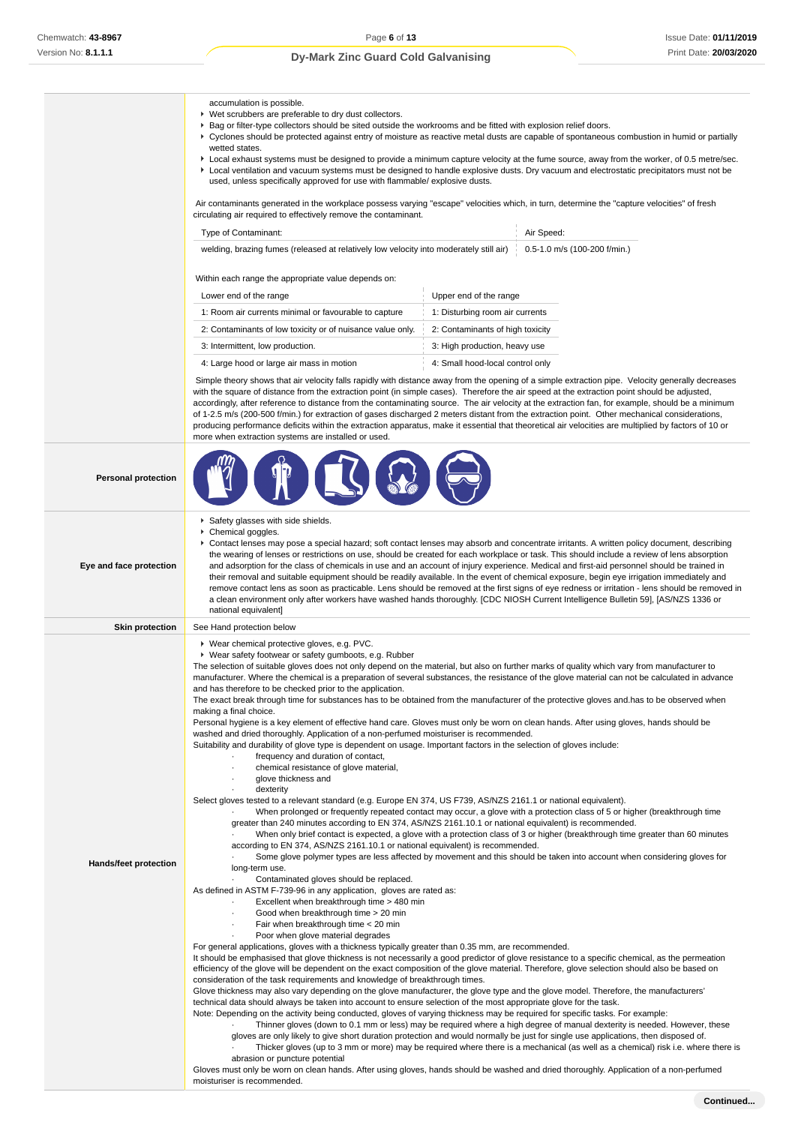and the control of the control of the

# Issue Date: **01/11/2019** Print Date: **20/03/2020**

# **Dy-Mark Zinc Guard Cold Galvanising**

|                              | accumulation is possible.<br>▶ Wet scrubbers are preferable to dry dust collectors.<br>▶ Bag or filter-type collectors should be sited outside the workrooms and be fitted with explosion relief doors.<br>▶ Cyclones should be protected against entry of moisture as reactive metal dusts are capable of spontaneous combustion in humid or partially<br>wetted states.<br>► Local exhaust systems must be designed to provide a minimum capture velocity at the fume source, away from the worker, of 0.5 metre/sec.<br>▶ Local ventilation and vacuum systems must be designed to handle explosive dusts. Dry vacuum and electrostatic precipitators must not be<br>used, unless specifically approved for use with flammable/ explosive dusts.                                                                                                                                                                                                                                                                                                                                                                                                                                                                                                                                                                                                                                                                                                                                                                                                                                                                                                                                                                                                                                                                                                                                                                                                                                                                                                                                                                                                                                                                                                                                                                                                                                                                                                                                                                                                                                                                                                                                                                                                                                                                                                              |                                  |                                                                                                                                                                                                                                                                                                                                                                                                                                                                                                                                                                                                                                                                                                                                                                                                 |  |
|------------------------------|------------------------------------------------------------------------------------------------------------------------------------------------------------------------------------------------------------------------------------------------------------------------------------------------------------------------------------------------------------------------------------------------------------------------------------------------------------------------------------------------------------------------------------------------------------------------------------------------------------------------------------------------------------------------------------------------------------------------------------------------------------------------------------------------------------------------------------------------------------------------------------------------------------------------------------------------------------------------------------------------------------------------------------------------------------------------------------------------------------------------------------------------------------------------------------------------------------------------------------------------------------------------------------------------------------------------------------------------------------------------------------------------------------------------------------------------------------------------------------------------------------------------------------------------------------------------------------------------------------------------------------------------------------------------------------------------------------------------------------------------------------------------------------------------------------------------------------------------------------------------------------------------------------------------------------------------------------------------------------------------------------------------------------------------------------------------------------------------------------------------------------------------------------------------------------------------------------------------------------------------------------------------------------------------------------------------------------------------------------------------------------------------------------------------------------------------------------------------------------------------------------------------------------------------------------------------------------------------------------------------------------------------------------------------------------------------------------------------------------------------------------------------------------------------------------------------------------------------------------------|----------------------------------|-------------------------------------------------------------------------------------------------------------------------------------------------------------------------------------------------------------------------------------------------------------------------------------------------------------------------------------------------------------------------------------------------------------------------------------------------------------------------------------------------------------------------------------------------------------------------------------------------------------------------------------------------------------------------------------------------------------------------------------------------------------------------------------------------|--|
|                              | Air contaminants generated in the workplace possess varying "escape" velocities which, in turn, determine the "capture velocities" of fresh<br>circulating air required to effectively remove the contaminant.                                                                                                                                                                                                                                                                                                                                                                                                                                                                                                                                                                                                                                                                                                                                                                                                                                                                                                                                                                                                                                                                                                                                                                                                                                                                                                                                                                                                                                                                                                                                                                                                                                                                                                                                                                                                                                                                                                                                                                                                                                                                                                                                                                                                                                                                                                                                                                                                                                                                                                                                                                                                                                                   |                                  |                                                                                                                                                                                                                                                                                                                                                                                                                                                                                                                                                                                                                                                                                                                                                                                                 |  |
|                              | Type of Contaminant:                                                                                                                                                                                                                                                                                                                                                                                                                                                                                                                                                                                                                                                                                                                                                                                                                                                                                                                                                                                                                                                                                                                                                                                                                                                                                                                                                                                                                                                                                                                                                                                                                                                                                                                                                                                                                                                                                                                                                                                                                                                                                                                                                                                                                                                                                                                                                                                                                                                                                                                                                                                                                                                                                                                                                                                                                                             |                                  | Air Speed:                                                                                                                                                                                                                                                                                                                                                                                                                                                                                                                                                                                                                                                                                                                                                                                      |  |
|                              | welding, brazing fumes (released at relatively low velocity into moderately still air)                                                                                                                                                                                                                                                                                                                                                                                                                                                                                                                                                                                                                                                                                                                                                                                                                                                                                                                                                                                                                                                                                                                                                                                                                                                                                                                                                                                                                                                                                                                                                                                                                                                                                                                                                                                                                                                                                                                                                                                                                                                                                                                                                                                                                                                                                                                                                                                                                                                                                                                                                                                                                                                                                                                                                                           |                                  | 0.5-1.0 m/s (100-200 f/min.)                                                                                                                                                                                                                                                                                                                                                                                                                                                                                                                                                                                                                                                                                                                                                                    |  |
|                              | Within each range the appropriate value depends on:                                                                                                                                                                                                                                                                                                                                                                                                                                                                                                                                                                                                                                                                                                                                                                                                                                                                                                                                                                                                                                                                                                                                                                                                                                                                                                                                                                                                                                                                                                                                                                                                                                                                                                                                                                                                                                                                                                                                                                                                                                                                                                                                                                                                                                                                                                                                                                                                                                                                                                                                                                                                                                                                                                                                                                                                              |                                  |                                                                                                                                                                                                                                                                                                                                                                                                                                                                                                                                                                                                                                                                                                                                                                                                 |  |
|                              | Lower end of the range                                                                                                                                                                                                                                                                                                                                                                                                                                                                                                                                                                                                                                                                                                                                                                                                                                                                                                                                                                                                                                                                                                                                                                                                                                                                                                                                                                                                                                                                                                                                                                                                                                                                                                                                                                                                                                                                                                                                                                                                                                                                                                                                                                                                                                                                                                                                                                                                                                                                                                                                                                                                                                                                                                                                                                                                                                           | Upper end of the range           |                                                                                                                                                                                                                                                                                                                                                                                                                                                                                                                                                                                                                                                                                                                                                                                                 |  |
|                              | 1: Room air currents minimal or favourable to capture                                                                                                                                                                                                                                                                                                                                                                                                                                                                                                                                                                                                                                                                                                                                                                                                                                                                                                                                                                                                                                                                                                                                                                                                                                                                                                                                                                                                                                                                                                                                                                                                                                                                                                                                                                                                                                                                                                                                                                                                                                                                                                                                                                                                                                                                                                                                                                                                                                                                                                                                                                                                                                                                                                                                                                                                            | 1: Disturbing room air currents  |                                                                                                                                                                                                                                                                                                                                                                                                                                                                                                                                                                                                                                                                                                                                                                                                 |  |
|                              | 2: Contaminants of low toxicity or of nuisance value only.                                                                                                                                                                                                                                                                                                                                                                                                                                                                                                                                                                                                                                                                                                                                                                                                                                                                                                                                                                                                                                                                                                                                                                                                                                                                                                                                                                                                                                                                                                                                                                                                                                                                                                                                                                                                                                                                                                                                                                                                                                                                                                                                                                                                                                                                                                                                                                                                                                                                                                                                                                                                                                                                                                                                                                                                       | 2: Contaminants of high toxicity |                                                                                                                                                                                                                                                                                                                                                                                                                                                                                                                                                                                                                                                                                                                                                                                                 |  |
|                              | 3: Intermittent, low production.                                                                                                                                                                                                                                                                                                                                                                                                                                                                                                                                                                                                                                                                                                                                                                                                                                                                                                                                                                                                                                                                                                                                                                                                                                                                                                                                                                                                                                                                                                                                                                                                                                                                                                                                                                                                                                                                                                                                                                                                                                                                                                                                                                                                                                                                                                                                                                                                                                                                                                                                                                                                                                                                                                                                                                                                                                 | 3: High production, heavy use    |                                                                                                                                                                                                                                                                                                                                                                                                                                                                                                                                                                                                                                                                                                                                                                                                 |  |
|                              | 4: Large hood or large air mass in motion                                                                                                                                                                                                                                                                                                                                                                                                                                                                                                                                                                                                                                                                                                                                                                                                                                                                                                                                                                                                                                                                                                                                                                                                                                                                                                                                                                                                                                                                                                                                                                                                                                                                                                                                                                                                                                                                                                                                                                                                                                                                                                                                                                                                                                                                                                                                                                                                                                                                                                                                                                                                                                                                                                                                                                                                                        | 4: Small hood-local control only |                                                                                                                                                                                                                                                                                                                                                                                                                                                                                                                                                                                                                                                                                                                                                                                                 |  |
|                              | Simple theory shows that air velocity falls rapidly with distance away from the opening of a simple extraction pipe. Velocity generally decreases<br>with the square of distance from the extraction point (in simple cases). Therefore the air speed at the extraction point should be adjusted,<br>accordingly, after reference to distance from the contaminating source. The air velocity at the extraction fan, for example, should be a minimum<br>of 1-2.5 m/s (200-500 f/min.) for extraction of gases discharged 2 meters distant from the extraction point. Other mechanical considerations,<br>producing performance deficits within the extraction apparatus, make it essential that theoretical air velocities are multiplied by factors of 10 or<br>more when extraction systems are installed or used.                                                                                                                                                                                                                                                                                                                                                                                                                                                                                                                                                                                                                                                                                                                                                                                                                                                                                                                                                                                                                                                                                                                                                                                                                                                                                                                                                                                                                                                                                                                                                                                                                                                                                                                                                                                                                                                                                                                                                                                                                                            |                                  |                                                                                                                                                                                                                                                                                                                                                                                                                                                                                                                                                                                                                                                                                                                                                                                                 |  |
| <b>Personal protection</b>   |                                                                                                                                                                                                                                                                                                                                                                                                                                                                                                                                                                                                                                                                                                                                                                                                                                                                                                                                                                                                                                                                                                                                                                                                                                                                                                                                                                                                                                                                                                                                                                                                                                                                                                                                                                                                                                                                                                                                                                                                                                                                                                                                                                                                                                                                                                                                                                                                                                                                                                                                                                                                                                                                                                                                                                                                                                                                  |                                  |                                                                                                                                                                                                                                                                                                                                                                                                                                                                                                                                                                                                                                                                                                                                                                                                 |  |
| Eye and face protection      | Safety glasses with side shields.<br>Chemical goggles.<br>▶ Contact lenses may pose a special hazard; soft contact lenses may absorb and concentrate irritants. A written policy document, describing<br>the wearing of lenses or restrictions on use, should be created for each workplace or task. This should include a review of lens absorption<br>and adsorption for the class of chemicals in use and an account of injury experience. Medical and first-aid personnel should be trained in<br>their removal and suitable equipment should be readily available. In the event of chemical exposure, begin eye irrigation immediately and<br>remove contact lens as soon as practicable. Lens should be removed at the first signs of eye redness or irritation - lens should be removed in<br>a clean environment only after workers have washed hands thoroughly. [CDC NIOSH Current Intelligence Bulletin 59], [AS/NZS 1336 or<br>national equivalent]                                                                                                                                                                                                                                                                                                                                                                                                                                                                                                                                                                                                                                                                                                                                                                                                                                                                                                                                                                                                                                                                                                                                                                                                                                                                                                                                                                                                                                                                                                                                                                                                                                                                                                                                                                                                                                                                                                  |                                  |                                                                                                                                                                                                                                                                                                                                                                                                                                                                                                                                                                                                                                                                                                                                                                                                 |  |
| <b>Skin protection</b>       | See Hand protection below                                                                                                                                                                                                                                                                                                                                                                                                                                                                                                                                                                                                                                                                                                                                                                                                                                                                                                                                                                                                                                                                                                                                                                                                                                                                                                                                                                                                                                                                                                                                                                                                                                                                                                                                                                                                                                                                                                                                                                                                                                                                                                                                                                                                                                                                                                                                                                                                                                                                                                                                                                                                                                                                                                                                                                                                                                        |                                  |                                                                                                                                                                                                                                                                                                                                                                                                                                                                                                                                                                                                                                                                                                                                                                                                 |  |
| <b>Hands/feet protection</b> | ▶ Wear chemical protective gloves, e.g. PVC.<br>▶ Wear safety footwear or safety gumboots, e.g. Rubber<br>The selection of suitable gloves does not only depend on the material, but also on further marks of quality which vary from manufacturer to<br>manufacturer. Where the chemical is a preparation of several substances, the resistance of the glove material can not be calculated in advance<br>and has therefore to be checked prior to the application.<br>The exact break through time for substances has to be obtained from the manufacturer of the protective gloves and has to be observed when<br>making a final choice.<br>Personal hygiene is a key element of effective hand care. Gloves must only be worn on clean hands. After using gloves, hands should be<br>washed and dried thoroughly. Application of a non-perfumed moisturiser is recommended.<br>Suitability and durability of glove type is dependent on usage. Important factors in the selection of gloves include:<br>frequency and duration of contact,<br>chemical resistance of glove material,<br>glove thickness and<br>dexterity<br>Select gloves tested to a relevant standard (e.g. Europe EN 374, US F739, AS/NZS 2161.1 or national equivalent).<br>greater than 240 minutes according to EN 374, AS/NZS 2161.10.1 or national equivalent) is recommended.<br>according to EN 374, AS/NZS 2161.10.1 or national equivalent) is recommended.<br>long-term use.<br>Contaminated gloves should be replaced.<br>As defined in ASTM F-739-96 in any application, gloves are rated as:<br>Excellent when breakthrough time > 480 min<br>Good when breakthrough time > 20 min<br>$\cdot$<br>Fair when breakthrough time < 20 min<br>Poor when glove material degrades<br>For general applications, gloves with a thickness typically greater than 0.35 mm, are recommended.<br>It should be emphasised that glove thickness is not necessarily a good predictor of glove resistance to a specific chemical, as the permeation<br>efficiency of the glove will be dependent on the exact composition of the glove material. Therefore, glove selection should also be based on<br>consideration of the task requirements and knowledge of breakthrough times.<br>Glove thickness may also vary depending on the glove manufacturer, the glove type and the glove model. Therefore, the manufacturers'<br>technical data should always be taken into account to ensure selection of the most appropriate glove for the task.<br>Note: Depending on the activity being conducted, gloves of varying thickness may be required for specific tasks. For example:<br>abrasion or puncture potential<br>Gloves must only be worn on clean hands. After using gloves, hands should be washed and dried thoroughly. Application of a non-perfumed<br>moisturiser is recommended. |                                  | When prolonged or frequently repeated contact may occur, a glove with a protection class of 5 or higher (breakthrough time<br>When only brief contact is expected, a glove with a protection class of 3 or higher (breakthrough time greater than 60 minutes<br>Some glove polymer types are less affected by movement and this should be taken into account when considering gloves for<br>Thinner gloves (down to 0.1 mm or less) may be required where a high degree of manual dexterity is needed. However, these<br>gloves are only likely to give short duration protection and would normally be just for single use applications, then disposed of.<br>Thicker gloves (up to 3 mm or more) may be required where there is a mechanical (as well as a chemical) risk i.e. where there is |  |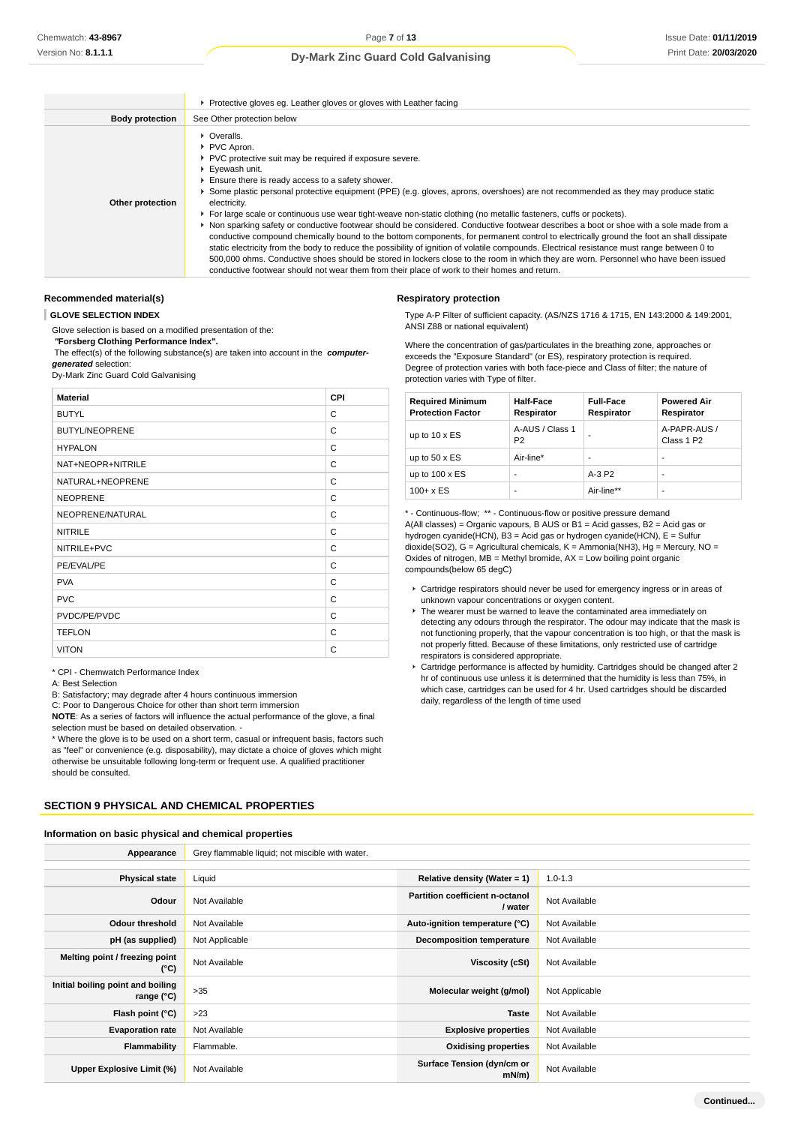|                        | ▶ Protective gloves eg. Leather gloves or gloves with Leather facing                                                                                                                                                                                                                                                                                                                                                                                                                                                                                                                                                                                                                                                                                                                                                                                                                                                                                                                                                                                                                                                            |  |  |
|------------------------|---------------------------------------------------------------------------------------------------------------------------------------------------------------------------------------------------------------------------------------------------------------------------------------------------------------------------------------------------------------------------------------------------------------------------------------------------------------------------------------------------------------------------------------------------------------------------------------------------------------------------------------------------------------------------------------------------------------------------------------------------------------------------------------------------------------------------------------------------------------------------------------------------------------------------------------------------------------------------------------------------------------------------------------------------------------------------------------------------------------------------------|--|--|
| <b>Body protection</b> | See Other protection below                                                                                                                                                                                                                                                                                                                                                                                                                                                                                                                                                                                                                                                                                                                                                                                                                                                                                                                                                                                                                                                                                                      |  |  |
| Other protection       | $\triangleright$ Overalls.<br>PVC Apron.<br>▶ PVC protective suit may be required if exposure severe.<br>Eyewash unit.<br>Ensure there is ready access to a safety shower.<br>Some plastic personal protective equipment (PPE) (e.g. gloves, aprons, overshoes) are not recommended as they may produce static<br>electricity.<br>For large scale or continuous use wear tight-weave non-static clothing (no metallic fasteners, cuffs or pockets).<br>▶ Non sparking safety or conductive footwear should be considered. Conductive footwear describes a boot or shoe with a sole made from a<br>conductive compound chemically bound to the bottom components, for permanent control to electrically ground the foot an shall dissipate<br>static electricity from the body to reduce the possibility of ignition of volatile compounds. Electrical resistance must range between 0 to<br>500,000 ohms. Conductive shoes should be stored in lockers close to the room in which they are worn. Personnel who have been issued<br>conductive footwear should not wear them from their place of work to their homes and return. |  |  |

**Respiratory protection**

ANSI Z88 or national equivalent)

#### **Recommended material(s)**

**GLOVE SELECTION INDEX**

Glove selection is based on a modified presentation of the:

 **"Forsberg Clothing Performance Index".**

 The effect(s) of the following substance(s) are taken into account in the **computergenerated** selection:

Dy-Mark Zinc Guard Cold Galvanising

| <b>Material</b>       | <b>CPI</b> |
|-----------------------|------------|
| <b>BUTYL</b>          | C          |
| <b>BUTYL/NEOPRENE</b> | C          |
| <b>HYPALON</b>        | C          |
| NAT+NEOPR+NITRILE     | C          |
| NATURAL+NEOPRENE      | C          |
| <b>NEOPRENE</b>       | C          |
| NEOPRENE/NATURAL      | C          |
| <b>NITRILE</b>        | C          |
| NITRILE+PVC           | C          |
| PE/EVAL/PE            | C          |
| <b>PVA</b>            | C          |
| <b>PVC</b>            | C          |
| PVDC/PE/PVDC          | C          |
| <b>TEFLON</b>         | C          |
| <b>VITON</b>          | C          |

\* CPI - Chemwatch Performance Index

A: Best Selection

B: Satisfactory; may degrade after 4 hours continuous immersion

C: Poor to Dangerous Choice for other than short term immersion

**NOTE**: As a series of factors will influence the actual performance of the glove, a final selection must be based on detailed observation. -

\* Where the glove is to be used on a short term, casual or infrequent basis, factors such as "feel" or convenience (e.g. disposability), may dictate a choice of gloves which might otherwise be unsuitable following long-term or frequent use. A qualified practitioner should be consulted.

#### **SECTION 9 PHYSICAL AND CHEMICAL PROPERTIES**

## **Information on basic physical and chemical properties**

Where the concentration of gas/particulates in the breathing zone, approaches or exceeds the "Exposure Standard" (or ES), respiratory protection is required. Degree of protection varies with both face-piece and Class of filter; the nature of protection varies with Type of filter.

Type A-P Filter of sufficient capacity. (AS/NZS 1716 & 1715, EN 143:2000 & 149:2001,

| <b>Required Minimum</b><br><b>Protection Factor</b> | Half-Face<br>Respirator           | <b>Full-Face</b><br>Respirator | <b>Powered Air</b><br>Respirator       |
|-----------------------------------------------------|-----------------------------------|--------------------------------|----------------------------------------|
| up to $10 \times ES$                                | A-AUS / Class 1<br>P <sub>2</sub> |                                | A-PAPR-AUS /<br>Class 1 P <sub>2</sub> |
| up to $50 \times ES$                                | Air-line*                         |                                | -                                      |
| up to $100 \times ES$                               | -                                 | $A-3P2$                        | -                                      |
| $100 + x ES$                                        | -                                 | Air-line**                     | ۰                                      |

\* - Continuous-flow; \*\* - Continuous-flow or positive pressure demand A(All classes) = Organic vapours, B AUS or B1 = Acid gasses, B2 = Acid gas or hydrogen cyanide(HCN), B3 = Acid gas or hydrogen cyanide(HCN), E = Sulfur dioxide(SO2), G = Agricultural chemicals, K = Ammonia(NH3), Hg = Mercury, NO = Oxides of nitrogen,  $MB =$  Methyl bromide,  $AX =$  Low boiling point organic compounds(below 65 degC)

- Cartridge respirators should never be used for emergency ingress or in areas of unknown vapour concentrations or oxygen content.
- ▶ The wearer must be warned to leave the contaminated area immediately on detecting any odours through the respirator. The odour may indicate that the mask is not functioning properly, that the vapour concentration is too high, or that the mask is not properly fitted. Because of these limitations, only restricted use of cartridge respirators is considered appropriate.
- Cartridge performance is affected by humidity. Cartridges should be changed after 2 hr of continuous use unless it is determined that the humidity is less than 75%, in which case, cartridges can be used for 4 hr. Used cartridges should be discarded daily, regardless of the length of time used

| Appearance                                      | Grey flammable liquid; not miscible with water. |                                            |                |
|-------------------------------------------------|-------------------------------------------------|--------------------------------------------|----------------|
|                                                 |                                                 |                                            |                |
| <b>Physical state</b>                           | Liquid                                          | Relative density (Water = 1)               | $1.0 - 1.3$    |
| Odour                                           | Not Available                                   | Partition coefficient n-octanol<br>/ water | Not Available  |
| Odour threshold                                 | Not Available                                   | Auto-ignition temperature (°C)             | Not Available  |
| pH (as supplied)                                | Not Applicable                                  | <b>Decomposition temperature</b>           | Not Available  |
| Melting point / freezing point<br>(°C)          | Not Available                                   | Viscosity (cSt)                            | Not Available  |
| Initial boiling point and boiling<br>range (°C) | >35                                             | Molecular weight (g/mol)                   | Not Applicable |
| Flash point (°C)                                | >23                                             | <b>Taste</b>                               | Not Available  |
| <b>Evaporation rate</b>                         | Not Available                                   | <b>Explosive properties</b>                | Not Available  |
| Flammability                                    | Flammable.                                      | <b>Oxidising properties</b>                | Not Available  |
| Upper Explosive Limit (%)                       | Not Available                                   | Surface Tension (dyn/cm or<br>mN/m         | Not Available  |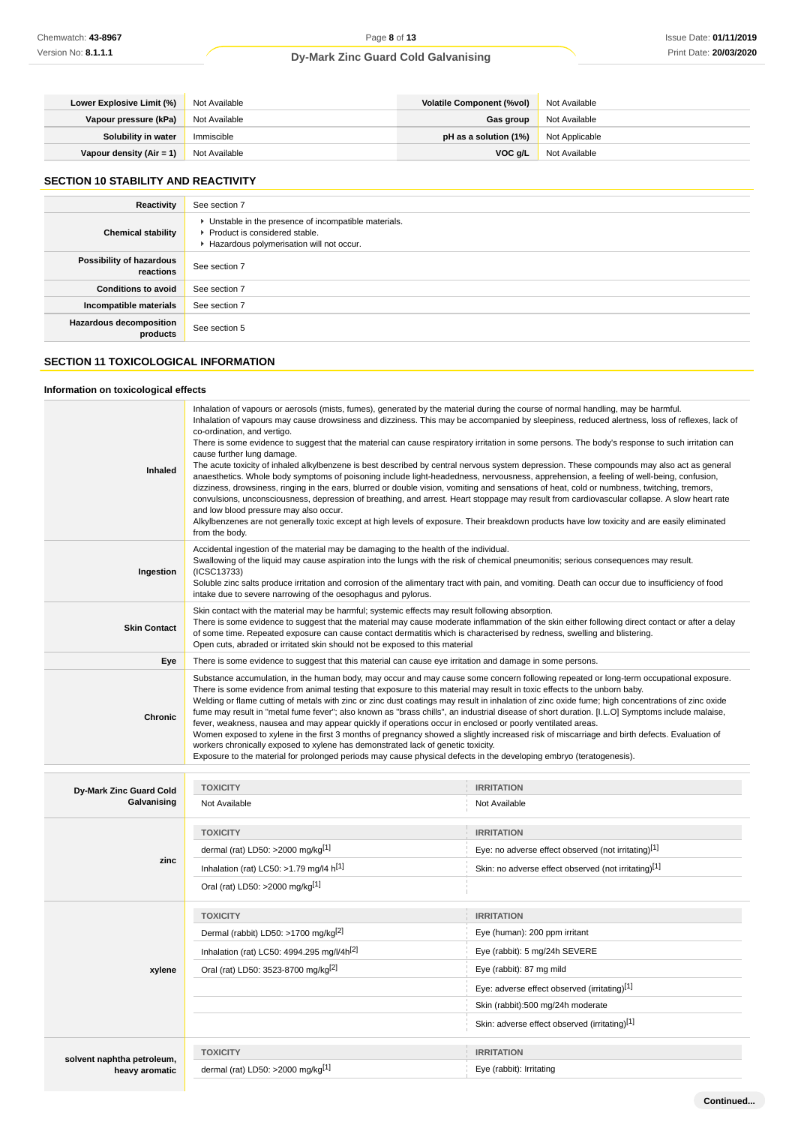| Lower Explosive Limit (%)                     | Not Available | <b>Volatile Component (%vol)</b> | Not Available  |
|-----------------------------------------------|---------------|----------------------------------|----------------|
| Vapour pressure (kPa)                         | Not Available | Gas group                        | Not Available  |
| Solubility in water                           | Immiscible    | pH as a solution (1%)            | Not Applicable |
| <b>Vapour density (Air = 1)</b> Not Available |               | VOC g/L                          | Not Available  |

# **SECTION 10 STABILITY AND REACTIVITY**

| Reactivity                                 | See section 7                                                                                                                        |
|--------------------------------------------|--------------------------------------------------------------------------------------------------------------------------------------|
| <b>Chemical stability</b>                  | • Unstable in the presence of incompatible materials.<br>▶ Product is considered stable.<br>Hazardous polymerisation will not occur. |
| Possibility of hazardous<br>reactions      | See section 7                                                                                                                        |
| <b>Conditions to avoid</b>                 | See section 7                                                                                                                        |
| Incompatible materials                     | See section 7                                                                                                                        |
| <b>Hazardous decomposition</b><br>products | See section 5                                                                                                                        |

# **SECTION 11 TOXICOLOGICAL INFORMATION**

## **Information on toxicological effects**

| Inhaled             | Inhalation of vapours or aerosols (mists, fumes), generated by the material during the course of normal handling, may be harmful.<br>Inhalation of vapours may cause drowsiness and dizziness. This may be accompanied by sleepiness, reduced alertness, loss of reflexes, lack of<br>co-ordination, and vertigo.<br>There is some evidence to suggest that the material can cause respiratory irritation in some persons. The body's response to such irritation can<br>cause further lung damage.<br>The acute toxicity of inhaled alkylbenzene is best described by central nervous system depression. These compounds may also act as general<br>anaesthetics. Whole body symptoms of poisoning include light-headedness, nervousness, apprehension, a feeling of well-being, confusion,<br>dizziness, drowsiness, ringing in the ears, blurred or double vision, vomiting and sensations of heat, cold or numbness, twitching, tremors,<br>convulsions, unconsciousness, depression of breathing, and arrest. Heart stoppage may result from cardiovascular collapse. A slow heart rate<br>and low blood pressure may also occur.<br>Alkylbenzenes are not generally toxic except at high levels of exposure. Their breakdown products have low toxicity and are easily eliminated<br>from the body. |
|---------------------|-----------------------------------------------------------------------------------------------------------------------------------------------------------------------------------------------------------------------------------------------------------------------------------------------------------------------------------------------------------------------------------------------------------------------------------------------------------------------------------------------------------------------------------------------------------------------------------------------------------------------------------------------------------------------------------------------------------------------------------------------------------------------------------------------------------------------------------------------------------------------------------------------------------------------------------------------------------------------------------------------------------------------------------------------------------------------------------------------------------------------------------------------------------------------------------------------------------------------------------------------------------------------------------------------------------|
| Ingestion           | Accidental ingestion of the material may be damaging to the health of the individual.<br>Swallowing of the liquid may cause aspiration into the lungs with the risk of chemical pneumonitis; serious consequences may result.<br>(ICSC13733)<br>Soluble zinc salts produce irritation and corrosion of the alimentary tract with pain, and vomiting. Death can occur due to insufficiency of food<br>intake due to severe narrowing of the oesophagus and pylorus.                                                                                                                                                                                                                                                                                                                                                                                                                                                                                                                                                                                                                                                                                                                                                                                                                                        |
| <b>Skin Contact</b> | Skin contact with the material may be harmful; systemic effects may result following absorption.<br>There is some evidence to suggest that the material may cause moderate inflammation of the skin either following direct contact or after a delay<br>of some time. Repeated exposure can cause contact dermatitis which is characterised by redness, swelling and blistering.<br>Open cuts, abraded or irritated skin should not be exposed to this material                                                                                                                                                                                                                                                                                                                                                                                                                                                                                                                                                                                                                                                                                                                                                                                                                                           |
| Eye                 | There is some evidence to suggest that this material can cause eye irritation and damage in some persons.                                                                                                                                                                                                                                                                                                                                                                                                                                                                                                                                                                                                                                                                                                                                                                                                                                                                                                                                                                                                                                                                                                                                                                                                 |
| <b>Chronic</b>      | Substance accumulation, in the human body, may occur and may cause some concern following repeated or long-term occupational exposure.<br>There is some evidence from animal testing that exposure to this material may result in toxic effects to the unborn baby.<br>Welding or flame cutting of metals with zinc or zinc dust coatings may result in inhalation of zinc oxide fume; high concentrations of zinc oxide<br>fume may result in "metal fume fever"; also known as "brass chills", an industrial disease of short duration. [I.L.O] Symptoms include malaise,<br>fever, weakness, nausea and may appear quickly if operations occur in enclosed or poorly ventilated areas.<br>Women exposed to xylene in the first 3 months of pregnancy showed a slightly increased risk of miscarriage and birth defects. Evaluation of<br>workers chronically exposed to xylene has demonstrated lack of genetic toxicity.<br>Exposure to the material for prolonged periods may cause physical defects in the developing embryo (teratogenesis).                                                                                                                                                                                                                                                       |

| Dy-Mark Zinc Guard Cold    | <b>TOXICITY</b>                                        | <b>IRRITATION</b>                                    |
|----------------------------|--------------------------------------------------------|------------------------------------------------------|
| Galvanising                | Not Available                                          | Not Available                                        |
|                            | <b>TOXICITY</b>                                        | <b>IRRITATION</b>                                    |
|                            | dermal (rat) LD50: >2000 mg/kg <sup>[1]</sup>          | Eye: no adverse effect observed (not irritating)[1]  |
| zinc                       | Inhalation (rat) LC50: >1.79 mg/l4 $h^{[1]}$           | Skin: no adverse effect observed (not irritating)[1] |
|                            | Oral (rat) LD50: >2000 mg/kg[1]                        |                                                      |
|                            | <b>TOXICITY</b>                                        | <b>IRRITATION</b>                                    |
|                            | Dermal (rabbit) LD50: >1700 mg/kg <sup>[2]</sup>       | Eye (human): 200 ppm irritant                        |
|                            | Inhalation (rat) LC50: 4994.295 mg/l/4h <sup>[2]</sup> | Eye (rabbit): 5 mg/24h SEVERE                        |
| xylene                     | Oral (rat) LD50: 3523-8700 mg/kg <sup>[2]</sup>        | Eye (rabbit): 87 mg mild                             |
|                            |                                                        | Eye: adverse effect observed (irritating)[1]         |
|                            |                                                        | Skin (rabbit):500 mg/24h moderate                    |
|                            |                                                        | Skin: adverse effect observed (irritating)[1]        |
| solvent naphtha petroleum, | <b>TOXICITY</b>                                        | <b>IRRITATION</b>                                    |
| heavy aromatic             | dermal (rat) LD50: >2000 mg/kg[1]                      | Eye (rabbit): Irritating                             |
|                            |                                                        |                                                      |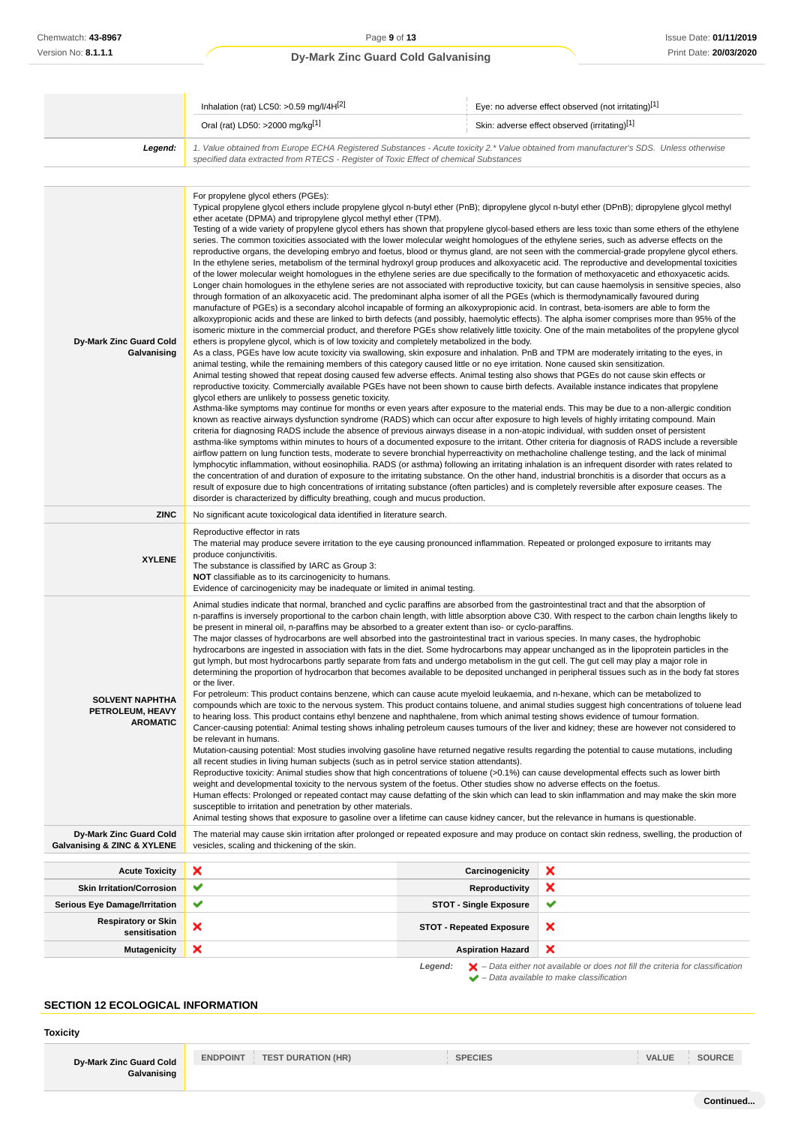|                                                               | Inhalation (rat) LC50: >0.59 mg/l/4H[2]                                                                                                                                                                                                                                                                                                                                                                                                                                                                                                                                                                                                                                                                                                                                                                                                                                                                                                                                                                                                                                                                                                                                                                                                                                                                                                                                                                                                                                                                                                                                                                                                                                                                                                                                                                                                                                                                                                                                                                                                                                                                                                                                                                                                                                                                                                                                                                                                                                                                                                                                                                                                                                                                                                                                                                                                                                                                                                                                                                                                                                                                                                                                                                                                                                                                                                                                                                                                                                                                                                                                                                                                                                                                                                                              |                                     | Eye: no adverse effect observed (not irritating)[1]                                                     |
|---------------------------------------------------------------|----------------------------------------------------------------------------------------------------------------------------------------------------------------------------------------------------------------------------------------------------------------------------------------------------------------------------------------------------------------------------------------------------------------------------------------------------------------------------------------------------------------------------------------------------------------------------------------------------------------------------------------------------------------------------------------------------------------------------------------------------------------------------------------------------------------------------------------------------------------------------------------------------------------------------------------------------------------------------------------------------------------------------------------------------------------------------------------------------------------------------------------------------------------------------------------------------------------------------------------------------------------------------------------------------------------------------------------------------------------------------------------------------------------------------------------------------------------------------------------------------------------------------------------------------------------------------------------------------------------------------------------------------------------------------------------------------------------------------------------------------------------------------------------------------------------------------------------------------------------------------------------------------------------------------------------------------------------------------------------------------------------------------------------------------------------------------------------------------------------------------------------------------------------------------------------------------------------------------------------------------------------------------------------------------------------------------------------------------------------------------------------------------------------------------------------------------------------------------------------------------------------------------------------------------------------------------------------------------------------------------------------------------------------------------------------------------------------------------------------------------------------------------------------------------------------------------------------------------------------------------------------------------------------------------------------------------------------------------------------------------------------------------------------------------------------------------------------------------------------------------------------------------------------------------------------------------------------------------------------------------------------------------------------------------------------------------------------------------------------------------------------------------------------------------------------------------------------------------------------------------------------------------------------------------------------------------------------------------------------------------------------------------------------------------------------------------------------------------------------------------------------------|-------------------------------------|---------------------------------------------------------------------------------------------------------|
|                                                               | Oral (rat) LD50: >2000 mg/kg[1]<br>Skin: adverse effect observed (irritating)[1]                                                                                                                                                                                                                                                                                                                                                                                                                                                                                                                                                                                                                                                                                                                                                                                                                                                                                                                                                                                                                                                                                                                                                                                                                                                                                                                                                                                                                                                                                                                                                                                                                                                                                                                                                                                                                                                                                                                                                                                                                                                                                                                                                                                                                                                                                                                                                                                                                                                                                                                                                                                                                                                                                                                                                                                                                                                                                                                                                                                                                                                                                                                                                                                                                                                                                                                                                                                                                                                                                                                                                                                                                                                                                     |                                     |                                                                                                         |
| Legend:                                                       | 1. Value obtained from Europe ECHA Registered Substances - Acute toxicity 2.* Value obtained from manufacturer's SDS. Unless otherwise<br>specified data extracted from RTECS - Register of Toxic Effect of chemical Substances                                                                                                                                                                                                                                                                                                                                                                                                                                                                                                                                                                                                                                                                                                                                                                                                                                                                                                                                                                                                                                                                                                                                                                                                                                                                                                                                                                                                                                                                                                                                                                                                                                                                                                                                                                                                                                                                                                                                                                                                                                                                                                                                                                                                                                                                                                                                                                                                                                                                                                                                                                                                                                                                                                                                                                                                                                                                                                                                                                                                                                                                                                                                                                                                                                                                                                                                                                                                                                                                                                                                      |                                     |                                                                                                         |
|                                                               | For propylene glycol ethers (PGEs):                                                                                                                                                                                                                                                                                                                                                                                                                                                                                                                                                                                                                                                                                                                                                                                                                                                                                                                                                                                                                                                                                                                                                                                                                                                                                                                                                                                                                                                                                                                                                                                                                                                                                                                                                                                                                                                                                                                                                                                                                                                                                                                                                                                                                                                                                                                                                                                                                                                                                                                                                                                                                                                                                                                                                                                                                                                                                                                                                                                                                                                                                                                                                                                                                                                                                                                                                                                                                                                                                                                                                                                                                                                                                                                                  |                                     |                                                                                                         |
| Dy-Mark Zinc Guard Cold<br>Galvanising                        | Typical propylene glycol ethers include propylene glycol n-butyl ether (PnB); dipropylene glycol n-butyl ether (DPnB); dipropylene glycol methyl<br>ether acetate (DPMA) and tripropylene glycol methyl ether (TPM).<br>Testing of a wide variety of propylene glycol ethers has shown that propylene glycol-based ethers are less toxic than some ethers of the ethylene<br>series. The common toxicities associated with the lower molecular weight homologues of the ethylene series, such as adverse effects on the<br>reproductive organs, the developing embryo and foetus, blood or thymus gland, are not seen with the commercial-grade propylene glycol ethers.<br>In the ethylene series, metabolism of the terminal hydroxyl group produces and alkoxyacetic acid. The reproductive and developmental toxicities<br>of the lower molecular weight homologues in the ethylene series are due specifically to the formation of methoxyacetic and ethoxyacetic acids.<br>Longer chain homologues in the ethylene series are not associated with reproductive toxicity, but can cause haemolysis in sensitive species, also<br>through formation of an alkoxyacetic acid. The predominant alpha isomer of all the PGEs (which is thermodynamically favoured during<br>manufacture of PGEs) is a secondary alcohol incapable of forming an alkoxypropionic acid. In contrast, beta-isomers are able to form the<br>alkoxypropionic acids and these are linked to birth defects (and possibly, haemolytic effects). The alpha isomer comprises more than 95% of the<br>isomeric mixture in the commercial product, and therefore PGEs show relatively little toxicity. One of the main metabolites of the propylene glycol<br>ethers is propylene glycol, which is of low toxicity and completely metabolized in the body.<br>As a class, PGEs have low acute toxicity via swallowing, skin exposure and inhalation. PnB and TPM are moderately irritating to the eyes, in<br>animal testing, while the remaining members of this category caused little or no eye irritation. None caused skin sensitization.<br>Animal testing showed that repeat dosing caused few adverse effects. Animal testing also shows that PGEs do not cause skin effects or<br>reproductive toxicity. Commercially available PGEs have not been shown to cause birth defects. Available instance indicates that propylene<br>glycol ethers are unlikely to possess genetic toxicity.<br>Asthma-like symptoms may continue for months or even years after exposure to the material ends. This may be due to a non-allergic condition<br>known as reactive airways dysfunction syndrome (RADS) which can occur after exposure to high levels of highly irritating compound. Main<br>criteria for diagnosing RADS include the absence of previous airways disease in a non-atopic individual, with sudden onset of persistent<br>asthma-like symptoms within minutes to hours of a documented exposure to the irritant. Other criteria for diagnosis of RADS include a reversible<br>airflow pattern on lung function tests, moderate to severe bronchial hyperreactivity on methacholine challenge testing, and the lack of minimal<br>lymphocytic inflammation, without eosinophilia. RADS (or asthma) following an irritating inhalation is an infrequent disorder with rates related to<br>the concentration of and duration of exposure to the irritating substance. On the other hand, industrial bronchitis is a disorder that occurs as a<br>result of exposure due to high concentrations of irritating substance (often particles) and is completely reversible after exposure ceases. The<br>disorder is characterized by difficulty breathing, cough and mucus production. |                                     |                                                                                                         |
| <b>ZINC</b>                                                   | No significant acute toxicological data identified in literature search.                                                                                                                                                                                                                                                                                                                                                                                                                                                                                                                                                                                                                                                                                                                                                                                                                                                                                                                                                                                                                                                                                                                                                                                                                                                                                                                                                                                                                                                                                                                                                                                                                                                                                                                                                                                                                                                                                                                                                                                                                                                                                                                                                                                                                                                                                                                                                                                                                                                                                                                                                                                                                                                                                                                                                                                                                                                                                                                                                                                                                                                                                                                                                                                                                                                                                                                                                                                                                                                                                                                                                                                                                                                                                             |                                     |                                                                                                         |
| <b>XYLENE</b>                                                 | Reproductive effector in rats<br>The material may produce severe irritation to the eye causing pronounced inflammation. Repeated or prolonged exposure to irritants may<br>produce conjunctivitis.<br>The substance is classified by IARC as Group 3:<br><b>NOT</b> classifiable as to its carcinogenicity to humans.<br>Evidence of carcinogenicity may be inadequate or limited in animal testing.                                                                                                                                                                                                                                                                                                                                                                                                                                                                                                                                                                                                                                                                                                                                                                                                                                                                                                                                                                                                                                                                                                                                                                                                                                                                                                                                                                                                                                                                                                                                                                                                                                                                                                                                                                                                                                                                                                                                                                                                                                                                                                                                                                                                                                                                                                                                                                                                                                                                                                                                                                                                                                                                                                                                                                                                                                                                                                                                                                                                                                                                                                                                                                                                                                                                                                                                                                 |                                     |                                                                                                         |
| <b>SOLVENT NAPHTHA</b><br>PETROLEUM, HEAVY<br><b>AROMATIC</b> | Animal studies indicate that normal, branched and cyclic paraffins are absorbed from the gastrointestinal tract and that the absorption of<br>n-paraffins is inversely proportional to the carbon chain length, with little absorption above C30. With respect to the carbon chain lengths likely to<br>be present in mineral oil, n-paraffins may be absorbed to a greater extent than iso- or cyclo-paraffins.<br>The major classes of hydrocarbons are well absorbed into the gastrointestinal tract in various species. In many cases, the hydrophobic<br>hydrocarbons are ingested in association with fats in the diet. Some hydrocarbons may appear unchanged as in the lipoprotein particles in the<br>gut lymph, but most hydrocarbons partly separate from fats and undergo metabolism in the gut cell. The gut cell may play a major role in<br>determining the proportion of hydrocarbon that becomes available to be deposited unchanged in peripheral tissues such as in the body fat stores<br>or the liver.<br>For petroleum: This product contains benzene, which can cause acute myeloid leukaemia, and n-hexane, which can be metabolized to<br>compounds which are toxic to the nervous system. This product contains toluene, and animal studies suggest high concentrations of toluene lead<br>to hearing loss. This product contains ethyl benzene and naphthalene, from which animal testing shows evidence of tumour formation.<br>Cancer-causing potential: Animal testing shows inhaling petroleum causes tumours of the liver and kidney; these are however not considered to<br>be relevant in humans.<br>Mutation-causing potential: Most studies involving gasoline have returned negative results regarding the potential to cause mutations, including<br>all recent studies in living human subjects (such as in petrol service station attendants).<br>Reproductive toxicity: Animal studies show that high concentrations of toluene (>0.1%) can cause developmental effects such as lower birth<br>weight and developmental toxicity to the nervous system of the foetus. Other studies show no adverse effects on the foetus.<br>Human effects: Prolonged or repeated contact may cause defatting of the skin which can lead to skin inflammation and may make the skin more<br>susceptible to irritation and penetration by other materials.<br>Animal testing shows that exposure to gasoline over a lifetime can cause kidney cancer, but the relevance in humans is questionable.                                                                                                                                                                                                                                                                                                                                                                                                                                                                                                                                                                                                                                                                                                                                                                                                                                                                                                                                                                                                                                                                                                                                                                                                                                          |                                     |                                                                                                         |
| Dy-Mark Zinc Guard Cold<br>Galvanising & ZINC & XYLENE        | The material may cause skin irritation after prolonged or repeated exposure and may produce on contact skin redness, swelling, the production of<br>vesicles, scaling and thickening of the skin.                                                                                                                                                                                                                                                                                                                                                                                                                                                                                                                                                                                                                                                                                                                                                                                                                                                                                                                                                                                                                                                                                                                                                                                                                                                                                                                                                                                                                                                                                                                                                                                                                                                                                                                                                                                                                                                                                                                                                                                                                                                                                                                                                                                                                                                                                                                                                                                                                                                                                                                                                                                                                                                                                                                                                                                                                                                                                                                                                                                                                                                                                                                                                                                                                                                                                                                                                                                                                                                                                                                                                                    |                                     |                                                                                                         |
| <b>Acute Toxicity</b>                                         | ×                                                                                                                                                                                                                                                                                                                                                                                                                                                                                                                                                                                                                                                                                                                                                                                                                                                                                                                                                                                                                                                                                                                                                                                                                                                                                                                                                                                                                                                                                                                                                                                                                                                                                                                                                                                                                                                                                                                                                                                                                                                                                                                                                                                                                                                                                                                                                                                                                                                                                                                                                                                                                                                                                                                                                                                                                                                                                                                                                                                                                                                                                                                                                                                                                                                                                                                                                                                                                                                                                                                                                                                                                                                                                                                                                                    | Carcinogenicity                     | ×                                                                                                       |
| <b>Skin Irritation/Corrosion</b>                              | ✔                                                                                                                                                                                                                                                                                                                                                                                                                                                                                                                                                                                                                                                                                                                                                                                                                                                                                                                                                                                                                                                                                                                                                                                                                                                                                                                                                                                                                                                                                                                                                                                                                                                                                                                                                                                                                                                                                                                                                                                                                                                                                                                                                                                                                                                                                                                                                                                                                                                                                                                                                                                                                                                                                                                                                                                                                                                                                                                                                                                                                                                                                                                                                                                                                                                                                                                                                                                                                                                                                                                                                                                                                                                                                                                                                                    | <b>Reproductivity</b>               | ×                                                                                                       |
| Serious Eye Damage/Irritation                                 | ✔                                                                                                                                                                                                                                                                                                                                                                                                                                                                                                                                                                                                                                                                                                                                                                                                                                                                                                                                                                                                                                                                                                                                                                                                                                                                                                                                                                                                                                                                                                                                                                                                                                                                                                                                                                                                                                                                                                                                                                                                                                                                                                                                                                                                                                                                                                                                                                                                                                                                                                                                                                                                                                                                                                                                                                                                                                                                                                                                                                                                                                                                                                                                                                                                                                                                                                                                                                                                                                                                                                                                                                                                                                                                                                                                                                    | <b>STOT - Single Exposure</b>       | ✔                                                                                                       |
| <b>Respiratory or Skin</b><br>sensitisation                   | ×                                                                                                                                                                                                                                                                                                                                                                                                                                                                                                                                                                                                                                                                                                                                                                                                                                                                                                                                                                                                                                                                                                                                                                                                                                                                                                                                                                                                                                                                                                                                                                                                                                                                                                                                                                                                                                                                                                                                                                                                                                                                                                                                                                                                                                                                                                                                                                                                                                                                                                                                                                                                                                                                                                                                                                                                                                                                                                                                                                                                                                                                                                                                                                                                                                                                                                                                                                                                                                                                                                                                                                                                                                                                                                                                                                    | <b>STOT - Repeated Exposure</b>     | ×                                                                                                       |
| Mutagenicity                                                  | ×                                                                                                                                                                                                                                                                                                                                                                                                                                                                                                                                                                                                                                                                                                                                                                                                                                                                                                                                                                                                                                                                                                                                                                                                                                                                                                                                                                                                                                                                                                                                                                                                                                                                                                                                                                                                                                                                                                                                                                                                                                                                                                                                                                                                                                                                                                                                                                                                                                                                                                                                                                                                                                                                                                                                                                                                                                                                                                                                                                                                                                                                                                                                                                                                                                                                                                                                                                                                                                                                                                                                                                                                                                                                                                                                                                    | <b>Aspiration Hazard</b><br>Legend: | ×<br>$\blacktriangleright$ - Data either not available or does not fill the criteria for classification |

 $\blacktriangleright$  – Data available to make classification

# **SECTION 12 ECOLOGICAL INFORMATION**

**Toxicity**

**ENDPOINT TEST DURATION (HR) SPECIES VALUE SOURCE**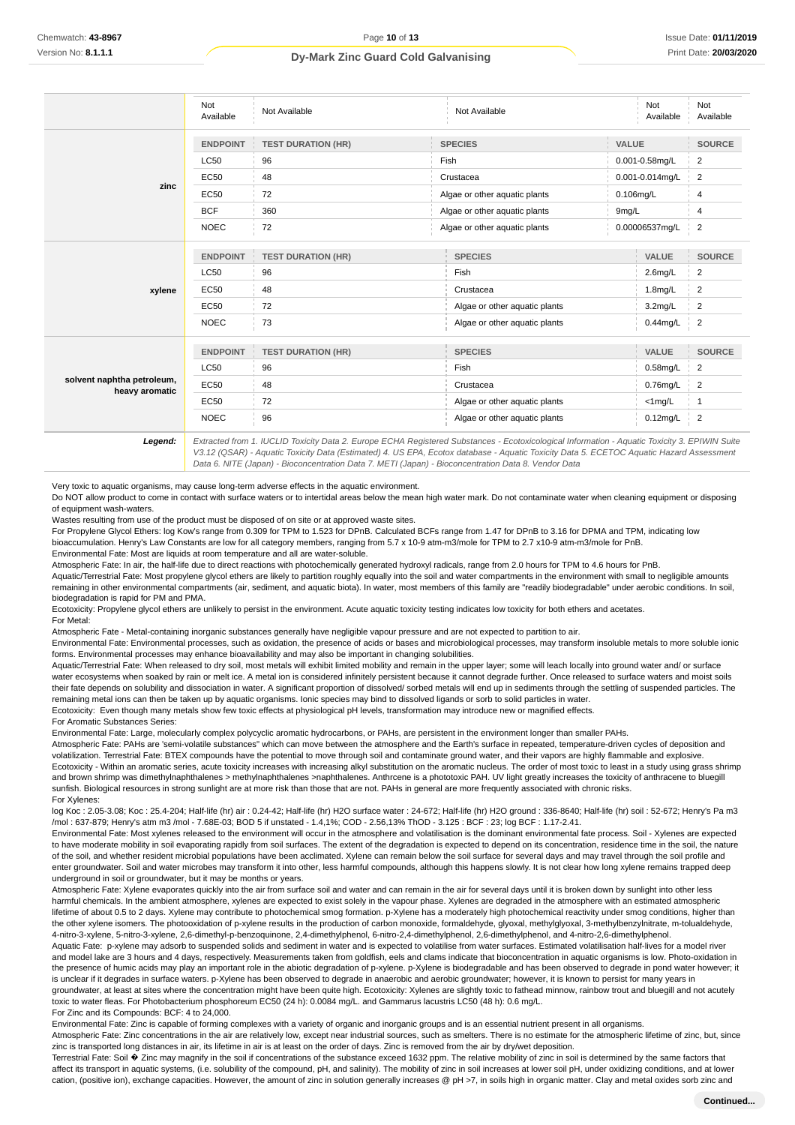|                                              | Not<br>Available | Not Available             | Not Available                 | Not<br>Available    | Not<br>Available |
|----------------------------------------------|------------------|---------------------------|-------------------------------|---------------------|------------------|
|                                              | <b>ENDPOINT</b>  | <b>TEST DURATION (HR)</b> | <b>SPECIES</b>                | VALUE               | <b>SOURCE</b>    |
|                                              | <b>LC50</b>      | 96                        | Fish                          | $0.001 - 0.58$ mg/L | $\overline{2}$   |
|                                              | EC50             | 48                        | Crustacea                     | 0.001-0.014mg/L     | $\overline{2}$   |
| zinc                                         | EC50             | 72                        | Algae or other aquatic plants | 0.106mg/L           | 4                |
|                                              | <b>BCF</b>       | 360                       | Algae or other aquatic plants | 9mg/L               | 4                |
|                                              | <b>NOEC</b>      | 72                        | Algae or other aquatic plants | 0.00006537mg/L      | $\overline{2}$   |
|                                              | <b>ENDPOINT</b>  | <b>TEST DURATION (HR)</b> | <b>SPECIES</b>                | VALUE               | <b>SOURCE</b>    |
|                                              | <b>LC50</b>      | 96                        | Fish                          | $2.6$ mg/L          | 2                |
| xylene                                       | EC50             | 48                        | Crustacea                     | 1.8mg/L             | $\overline{2}$   |
|                                              | EC50             | 72                        | Algae or other aquatic plants | $3.2$ mg/L          | 2                |
|                                              | <b>NOEC</b>      | 73                        | Algae or other aquatic plants | $0.44$ mg/L         | $\overline{2}$   |
|                                              | <b>ENDPOINT</b>  | <b>TEST DURATION (HR)</b> | <b>SPECIES</b>                | <b>VALUE</b>        | <b>SOURCE</b>    |
|                                              | <b>LC50</b>      | 96                        | Fish                          | 0.58mg/L            | 2                |
| solvent naphtha petroleum,<br>heavy aromatic | <b>EC50</b>      | 48                        | Crustacea                     | 0.76mg/L            | $\overline{2}$   |
|                                              | <b>EC50</b>      | 72                        | Algae or other aquatic plants | $<$ 1mg/L           | 1                |
|                                              | <b>NOEC</b>      | 96                        | Algae or other aquatic plants | $0.12$ mg/L         | $\overline{2}$   |

**Legend:** Extracted from 1. IUCLID Toxicity Data 2. Europe ECHA Registered Substances - Ecotoxicological Information - Aquatic Toxicity 3. EPIWIN Suite V3.12 (QSAR) - Aquatic Toxicity Data (Estimated) 4. US EPA, Ecotox database - Aquatic Toxicity Data 5. ECETOC Aquatic Hazard Assessment Data 6. NITE (Japan) - Bioconcentration Data 7. METI (Japan) - Bioconcentration Data 8. Vendor Data

Very toxic to aquatic organisms, may cause long-term adverse effects in the aquatic environment.

Do NOT allow product to come in contact with surface waters or to intertidal areas below the mean high water mark. Do not contaminate water when cleaning equipment or disposing of equipment wash-waters.

Wastes resulting from use of the product must be disposed of on site or at approved waste sites.

For Propylene Glycol Ethers: log Kow's range from 0.309 for TPM to 1.523 for DPnB. Calculated BCFs range from 1.47 for DPnB to 3.16 for DPMA and TPM, indicating low bioaccumulation. Henry's Law Constants are low for all category members, ranging from 5.7 x 10-9 atm-m3/mole for TPM to 2.7 x10-9 atm-m3/mole for PnB. Environmental Fate: Most are liquids at room temperature and all are water-soluble.

Atmospheric Fate: In air, the half-life due to direct reactions with photochemically generated hydroxyl radicals, range from 2.0 hours for TPM to 4.6 hours for PnB.

Aquatic/Terrestrial Fate: Most propylene glycol ethers are likely to partition roughly equally into the soil and water compartments in the environment with small to negligible amounts remaining in other environmental compartments (air, sediment, and aquatic biota). In water, most members of this family are "readily biodegradable" under aerobic conditions. In soil, biodegradation is rapid for PM and PMA.

Ecotoxicity: Propylene glycol ethers are unlikely to persist in the environment. Acute aquatic toxicity testing indicates low toxicity for both ethers and acetates.

For Metal: Atmospheric Fate - Metal-containing inorganic substances generally have negligible vapour pressure and are not expected to partition to air.

Environmental Fate: Environmental processes, such as oxidation, the presence of acids or bases and microbiological processes, may transform insoluble metals to more soluble ionic forms. Environmental processes may enhance bioavailability and may also be important in changing solubilities.

Aquatic/Terrestrial Fate: When released to dry soil, most metals will exhibit limited mobility and remain in the upper layer; some will leach locally into ground water and/ or surface water ecosystems when soaked by rain or melt ice. A metal ion is considered infinitely persistent because it cannot degrade further. Once released to surface waters and moist soils their fate depends on solubility and dissociation in water. A significant proportion of dissolved/ sorbed metals will end up in sediments through the settling of suspended particles. The remaining metal ions can then be taken up by aquatic organisms. Ionic species may bind to dissolved ligands or sorb to solid particles in water Ecotoxicity: Even though many metals show few toxic effects at physiological pH levels, transformation may introduce new or magnified effects.

For Aromatic Substances Series:

Environmental Fate: Large, molecularly complex polycyclic aromatic hydrocarbons, or PAHs, are persistent in the environment longer than smaller PAHs.

Atmospheric Fate: PAHs are 'semi-volatile substances" which can move between the atmosphere and the Earth's surface in repeated, temperature-driven cycles of deposition and volatilization. Terrestrial Fate: BTEX compounds have the potential to move through soil and contaminate ground water, and their vapors are highly flammable and explosive. Ecotoxicity - Within an aromatic series, acute toxicity increases with increasing alkyl substitution on the aromatic nucleus. The order of most toxic to least in a study using grass shrimp and brown shrimp was dimethylnaphthalenes > methylnaphthalenes >naphthalenes. Anthrcene is a phototoxic PAH. UV light greatly increases the toxicity of anthracene to bluegill sunfish. Biological resources in strong sunlight are at more risk than those that are not. PAHs in general are more frequently associated with chronic risks. For Xylenes:

log Koc : 2.05-3.08; Koc : 25.4-204; Half-life (hr) air : 0.24-42; Half-life (hr) H2O surface water : 24-672; Half-life (hr) H2O ground : 336-8640; Half-life (hr) soil : 52-672; Henry's Pa m3 /mol : 637-879; Henry's atm m3 /mol - 7.68E-03; BOD 5 if unstated - 1.4,1%; COD - 2.56,13% ThOD - 3.125 : BCF : 23; log BCF : 1.17-2.41.

Environmental Fate: Most xylenes released to the environment will occur in the atmosphere and volatilisation is the dominant environmental fate process. Soil - Xylenes are expected to have moderate mobility in soil evaporating rapidly from soil surfaces. The extent of the degradation is expected to depend on its concentration, residence time in the soil, the nature of the soil, and whether resident microbial populations have been acclimated. Xylene can remain below the soil surface for several days and may travel through the soil profile and enter groundwater. Soil and water microbes may transform it into other, less harmful compounds, although this happens slowly. It is not clear how long xylene remains trapped deep underground in soil or groundwater, but it may be months or years.

Atmospheric Fate: Xylene evaporates quickly into the air from surface soil and water and can remain in the air for several days until it is broken down by sunlight into other less harmful chemicals. In the ambient atmosphere, xylenes are expected to exist solely in the vapour phase. Xylenes are degraded in the atmosphere with an estimated atmospheric lifetime of about 0.5 to 2 days. Xylene may contribute to photochemical smog formation. p-Xylene has a moderately high photochemical reactivity under smog conditions, higher than the other xylene isomers. The photooxidation of p-xylene results in the production of carbon monoxide, formaldehyde, glyoxal, methylglyoxal, 3-methylbenzylnitrate, m-tolualdehyde, 4-nitro-3-xylene, 5-nitro-3-xylene, 2,6-dimethyl-p-benzoquinone, 2,4-dimethylphenol, 6-nitro-2,4-dimethylphenol, 2,6-dimethylphenol, and 4-nitro-2,6-dimethylphenol. Aquatic Fate: p-xylene may adsorb to suspended solids and sediment in water and is expected to volatilise from water surfaces. Estimated volatilisation half-lives for a model river and model lake are 3 hours and 4 days, respectively. Measurements taken from goldfish, eels and clams indicate that bioconcentration in aquatic organisms is low. Photo-oxidation in the presence of humic acids may play an important role in the abiotic degradation of p-xylene. p-Xylene is biodegradable and has been observed to degrade in pond water however; it is unclear if it degrades in surface waters, p-Xylene has been observed to degrade in anaerobic and aerobic groundwater; however, it is known to persist for many years in groundwater, at least at sites where the concentration might have been quite high. Ecotoxicity: Xylenes are slightly toxic to fathead minnow, rainbow trout and bluegill and not acutely toxic to water fleas. For Photobacterium phosphoreum EC50 (24 h): 0.0084 mg/L. and Gammarus lacustris LC50 (48 h): 0.6 mg/L. For Zinc and its Compounds: BCF: 4 to 24,000.

Environmental Fate: Zinc is capable of forming complexes with a variety of organic and inorganic groups and is an essential nutrient present in all organisms.

Atmospheric Fate: Zinc concentrations in the air are relatively low, except near industrial sources, such as smelters. There is no estimate for the atmospheric lifetime of zinc, but, since zinc is transported long distances in air, its lifetime in air is at least on the order of days. Zinc is removed from the air by dry/wet deposition.

Terrestrial Fate: Soil  $\hat{\Phi}$  Zinc may magnify in the soil if concentrations of the substance exceed 1632 ppm. The relative mobility of zinc in soil is determined by the same factors that affect its transport in aquatic systems, (i.e. solubility of the compound, pH, and salinity). The mobility of zinc in soil increases at lower soil pH, under oxidizing conditions, and at lower cation, (positive ion), exchange capacities. However, the amount of zinc in solution generally increases @ pH >7, in soils high in organic matter. Clay and metal oxides sorb zinc and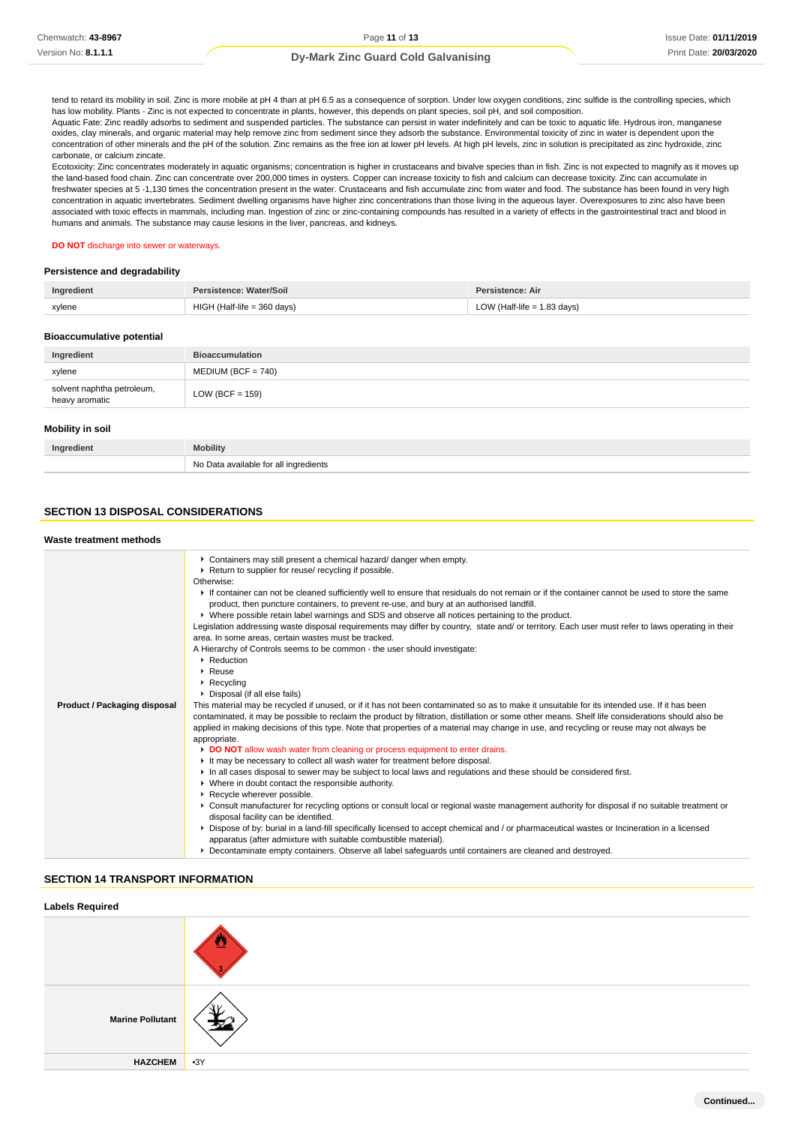tend to retard its mobility in soil. Zinc is more mobile at pH 4 than at pH 6.5 as a consequence of sorption. Under low oxygen conditions, zinc sulfide is the controlling species, which has low mobility. Plants - Zinc is not expected to concentrate in plants, however, this depends on plant species, soil pH, and soil composition. Aquatic Fate: Zinc readily adsorbs to sediment and suspended particles. The substance can persist in water indefinitely and can be toxic to aquatic life. Hydrous iron, manganese oxides, clay minerals, and organic material may help remove zinc from sediment since they adsorb the substance. Environmental toxicity of zinc in water is dependent upon the concentration of other minerals and the pH of the solution. Zinc remains as the free ion at lower pH levels. At high pH levels, zinc in solution is precipitated as zinc hydroxide, zinc carbonate, or calcium zincate.

Ecotoxicity: Zinc concentrates moderately in aquatic organisms; concentration is higher in crustaceans and bivalve species than in fish. Zinc is not expected to magnify as it moves up the land-based food chain. Zinc can concentrate over 200,000 times in oysters. Copper can increase toxicity to fish and calcium can decrease toxicity. Zinc can accumulate in freshwater species at 5 -1,130 times the concentration present in the water. Crustaceans and fish accumulate zinc from water and food. The substance has been found in very high concentration in aquatic invertebrates. Sediment dwelling organisms have higher zinc concentrations than those living in the aqueous layer. Overexposures to zinc also have been associated with toxic effects in mammals, including man. Ingestion of zinc or zinc-containing compounds has resulted in a variety of effects in the gastrointestinal tract and blood in humans and animals. The substance may cause lesions in the liver, pancreas, and kidneys.

#### **DO NOT** discharge into sewer or waterways.

#### **Persistence and degradability**

| Ingredient                     | Persistence: Water/Soil       | Persistence: Air              |
|--------------------------------|-------------------------------|-------------------------------|
| xylene                         | $HIGH$ (Half-life = 360 days) | LOW (Half-life $= 1.83$ days) |
| Dissanto della contratta dell' |                               |                               |

#### **Bioaccumulative potential**

| Ingredient                                   | <b>Bioaccumulation</b> |
|----------------------------------------------|------------------------|
| xylene                                       | $MEDIUM (BCF = 740)$   |
| solvent naphtha petroleum,<br>heavy aromatic | LOW (BCF = $159$ )     |

#### **Mobility in soil**

| Ingredient | <b>Mobility</b>                       |
|------------|---------------------------------------|
|            | No Data available for all ingredients |

## **SECTION 13 DISPOSAL CONSIDERATIONS**

| Waste treatment methods |  |
|-------------------------|--|
|-------------------------|--|

| • Containers may still present a chemical hazard/ danger when empty.<br>Return to supplier for reuse/ recycling if possible.<br>Otherwise:<br>If container can not be cleaned sufficiently well to ensure that residuals do not remain or if the container cannot be used to store the same<br>product, then puncture containers, to prevent re-use, and bury at an authorised landfill.<br>▶ Where possible retain label warnings and SDS and observe all notices pertaining to the product.<br>Legislation addressing waste disposal requirements may differ by country, state and/ or territory. Each user must refer to laws operating in their<br>area. In some areas, certain wastes must be tracked.<br>A Hierarchy of Controls seems to be common - the user should investigate:<br>▶ Reduction<br>$\triangleright$ Reuse<br>$\triangleright$ Recycling<br>• Disposal (if all else fails)<br><b>Product / Packaging disposal</b><br>This material may be recycled if unused, or if it has not been contaminated so as to make it unsuitable for its intended use. If it has been<br>contaminated, it may be possible to reclaim the product by filtration, distillation or some other means. Shelf life considerations should also be<br>applied in making decisions of this type. Note that properties of a material may change in use, and recycling or reuse may not always be<br>appropriate.<br>DO NOT allow wash water from cleaning or process equipment to enter drains.<br>It may be necessary to collect all wash water for treatment before disposal.<br>In all cases disposal to sewer may be subject to local laws and regulations and these should be considered first.<br>• Where in doubt contact the responsible authority.<br>Recycle wherever possible.<br>▶ Consult manufacturer for recycling options or consult local or regional waste management authority for disposal if no suitable treatment or<br>disposal facility can be identified. |                                                                                                                                              |
|-----------------------------------------------------------------------------------------------------------------------------------------------------------------------------------------------------------------------------------------------------------------------------------------------------------------------------------------------------------------------------------------------------------------------------------------------------------------------------------------------------------------------------------------------------------------------------------------------------------------------------------------------------------------------------------------------------------------------------------------------------------------------------------------------------------------------------------------------------------------------------------------------------------------------------------------------------------------------------------------------------------------------------------------------------------------------------------------------------------------------------------------------------------------------------------------------------------------------------------------------------------------------------------------------------------------------------------------------------------------------------------------------------------------------------------------------------------------------------------------------------------------------------------------------------------------------------------------------------------------------------------------------------------------------------------------------------------------------------------------------------------------------------------------------------------------------------------------------------------------------------------------------------------------------------------------------------------------------------|----------------------------------------------------------------------------------------------------------------------------------------------|
|                                                                                                                                                                                                                                                                                                                                                                                                                                                                                                                                                                                                                                                                                                                                                                                                                                                                                                                                                                                                                                                                                                                                                                                                                                                                                                                                                                                                                                                                                                                                                                                                                                                                                                                                                                                                                                                                                                                                                                             |                                                                                                                                              |
|                                                                                                                                                                                                                                                                                                                                                                                                                                                                                                                                                                                                                                                                                                                                                                                                                                                                                                                                                                                                                                                                                                                                                                                                                                                                                                                                                                                                                                                                                                                                                                                                                                                                                                                                                                                                                                                                                                                                                                             |                                                                                                                                              |
|                                                                                                                                                                                                                                                                                                                                                                                                                                                                                                                                                                                                                                                                                                                                                                                                                                                                                                                                                                                                                                                                                                                                                                                                                                                                                                                                                                                                                                                                                                                                                                                                                                                                                                                                                                                                                                                                                                                                                                             | ▶ Dispose of by: burial in a land-fill specifically licensed to accept chemical and / or pharmaceutical wastes or Incineration in a licensed |
| apparatus (after admixture with suitable combustible material).                                                                                                                                                                                                                                                                                                                                                                                                                                                                                                                                                                                                                                                                                                                                                                                                                                                                                                                                                                                                                                                                                                                                                                                                                                                                                                                                                                                                                                                                                                                                                                                                                                                                                                                                                                                                                                                                                                             |                                                                                                                                              |
| ▶ Decontaminate empty containers. Observe all label safeguards until containers are cleaned and destroyed.                                                                                                                                                                                                                                                                                                                                                                                                                                                                                                                                                                                                                                                                                                                                                                                                                                                                                                                                                                                                                                                                                                                                                                                                                                                                                                                                                                                                                                                                                                                                                                                                                                                                                                                                                                                                                                                                  |                                                                                                                                              |

## **SECTION 14 TRANSPORT INFORMATION**

| <b>Labels Required</b>  |       |
|-------------------------|-------|
|                         |       |
| <b>Marine Pollutant</b> | ៶. .  |
| <b>HAZCHEM</b>          | $-3Y$ |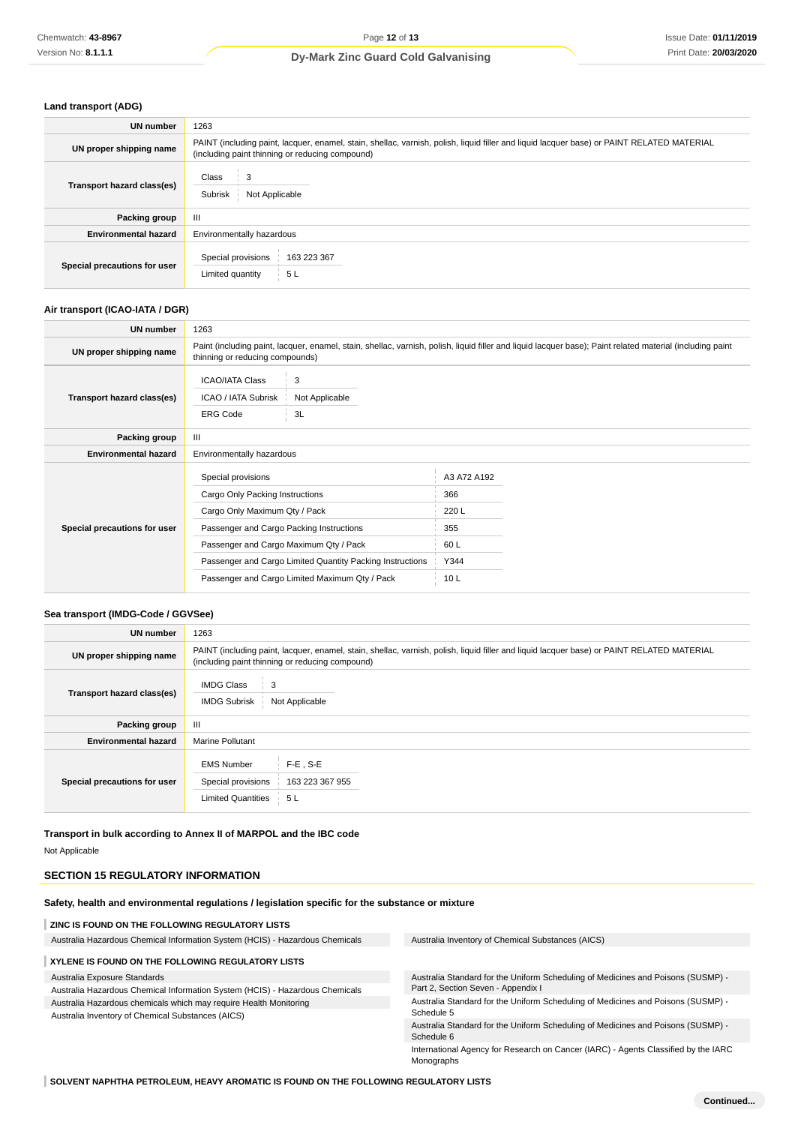#### **Land transport (ADG)**

| UN number                    | 1263                                                                                                                                                                                          |
|------------------------------|-----------------------------------------------------------------------------------------------------------------------------------------------------------------------------------------------|
| UN proper shipping name      | PAINT (including paint, lacquer, enamel, stain, shellac, varnish, polish, liquid filler and liquid lacquer base) or PAINT RELATED MATERIAL<br>(including paint thinning or reducing compound) |
| Transport hazard class(es)   | Class<br>Not Applicable<br>Subrisk                                                                                                                                                            |
| Packing group                | Ш                                                                                                                                                                                             |
| <b>Environmental hazard</b>  | Environmentally hazardous                                                                                                                                                                     |
| Special precautions for user | Special provisions<br>163 223 367<br>5L<br>Limited quantity                                                                                                                                   |

#### **Air transport (ICAO-IATA / DGR)**

| UN number                    | 1263                                                                                                                                                                                                                                      |                           |                                                    |  |  |
|------------------------------|-------------------------------------------------------------------------------------------------------------------------------------------------------------------------------------------------------------------------------------------|---------------------------|----------------------------------------------------|--|--|
| UN proper shipping name      | Paint (including paint, lacquer, enamel, stain, shellac, varnish, polish, liquid filler and liquid lacquer base); Paint related material (including paint<br>thinning or reducing compounds)                                              |                           |                                                    |  |  |
| Transport hazard class(es)   | <b>ICAO/IATA Class</b><br>ICAO / IATA Subrisk<br><b>ERG Code</b>                                                                                                                                                                          | 3<br>Not Applicable<br>3L |                                                    |  |  |
| Packing group                | III                                                                                                                                                                                                                                       |                           |                                                    |  |  |
| <b>Environmental hazard</b>  | Environmentally hazardous                                                                                                                                                                                                                 |                           |                                                    |  |  |
| Special precautions for user | Special provisions<br>Cargo Only Packing Instructions<br>Cargo Only Maximum Qty / Pack<br>Passenger and Cargo Packing Instructions<br>Passenger and Cargo Maximum Qty / Pack<br>Passenger and Cargo Limited Quantity Packing Instructions |                           | A3 A72 A192<br>366<br>220 L<br>355<br>60 L<br>Y344 |  |  |
|                              | Passenger and Cargo Limited Maximum Qty / Pack                                                                                                                                                                                            |                           | 10 <sub>L</sub>                                    |  |  |

### **Sea transport (IMDG-Code / GGVSee)**

| UN number                    | 1263                                                                                                                                                                                          |  |  |  |
|------------------------------|-----------------------------------------------------------------------------------------------------------------------------------------------------------------------------------------------|--|--|--|
| UN proper shipping name      | PAINT (including paint, lacquer, enamel, stain, shellac, varnish, polish, liquid filler and liquid lacquer base) or PAINT RELATED MATERIAL<br>(including paint thinning or reducing compound) |  |  |  |
| Transport hazard class(es)   | <b>IMDG Class</b><br>3<br><b>IMDG Subrisk</b><br>Not Applicable                                                                                                                               |  |  |  |
| Packing group                | Ш                                                                                                                                                                                             |  |  |  |
| <b>Environmental hazard</b>  | <b>Marine Pollutant</b>                                                                                                                                                                       |  |  |  |
| Special precautions for user | $F-E$ . S-E<br><b>EMS Number</b><br>Special provisions<br>163 223 367 955<br><b>Limited Quantities</b><br>5L                                                                                  |  |  |  |

**Transport in bulk according to Annex II of MARPOL and the IBC code** Not Applicable

# **SECTION 15 REGULATORY INFORMATION**

**Safety, health and environmental regulations / legislation specific for the substance or mixture**

#### **ZINC IS FOUND ON THE FOLLOWING REGULATORY LISTS**

Australia Hazardous Chemical Information System (HCIS) - Hazardous Chemicals Australia Inventory of Chemical Substances (AICS)

#### **XYLENE IS FOUND ON THE FOLLOWING REGULATORY LISTS**

Australia Exposure Standards

Australia Hazardous Chemical Information System (HCIS) - Hazardous Chemicals Australia Hazardous chemicals which may require Health Monitoring

Australia Inventory of Chemical Substances (AICS)

Australia Standard for the Uniform Scheduling of Medicines and Poisons (SUSMP) - Part 2, Section Seven - Appendix I

Australia Standard for the Uniform Scheduling of Medicines and Poisons (SUSMP) - Schedule 5

Australia Standard for the Uniform Scheduling of Medicines and Poisons (SUSMP) - Schedule 6

International Agency for Research on Cancer (IARC) - Agents Classified by the IARC Monographs